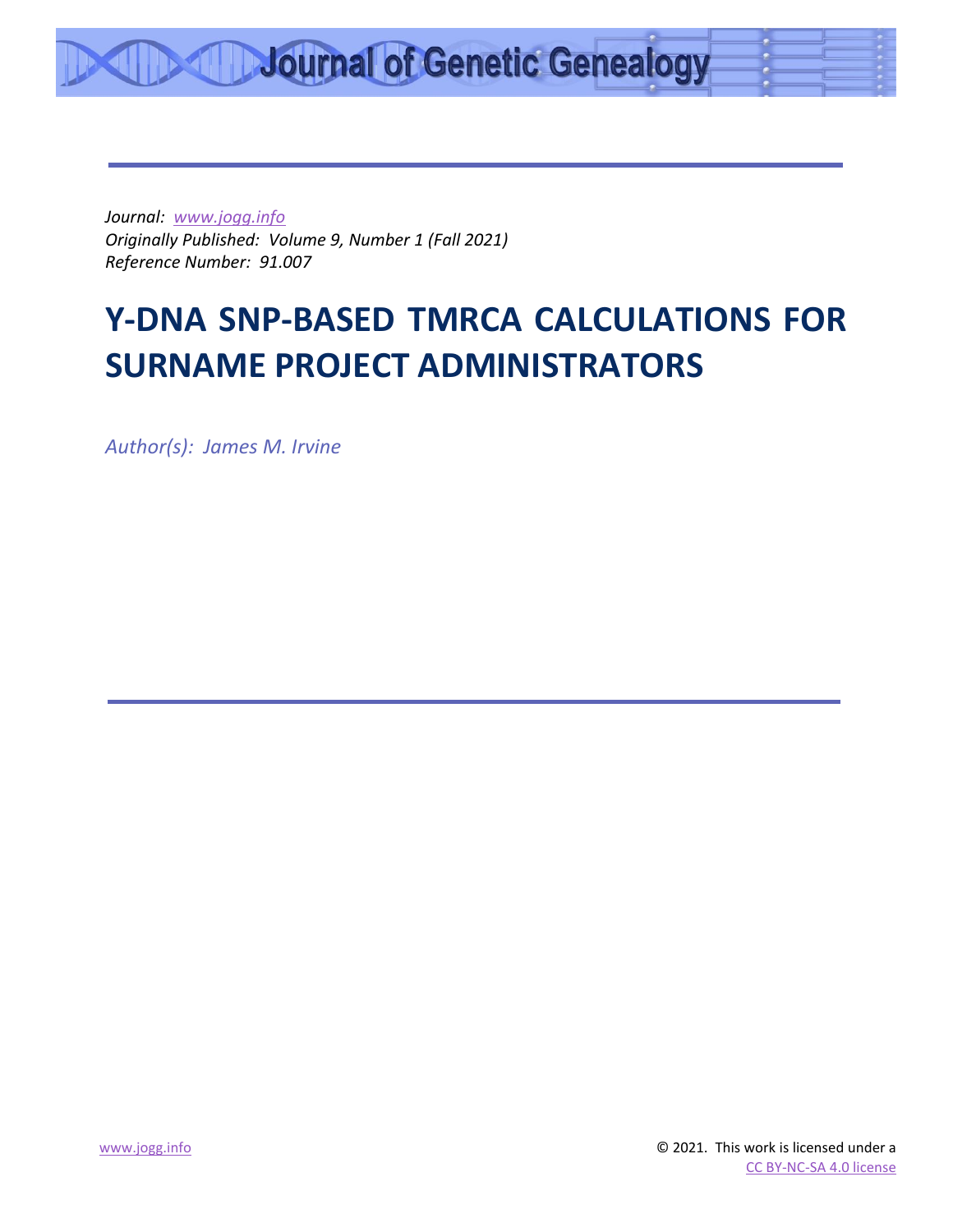*Journal: [www.jogg.info](http://www.jogg.info/) Originally Published: Volume 9, Number 1 (Fall 2021) Reference Number: 91.007*

# **Y-DNA SNP-BASED TMRCA CALCULATIONS FOR SURNAME PROJECT ADMINISTRATORS**

*Author(s): James M. Irvine*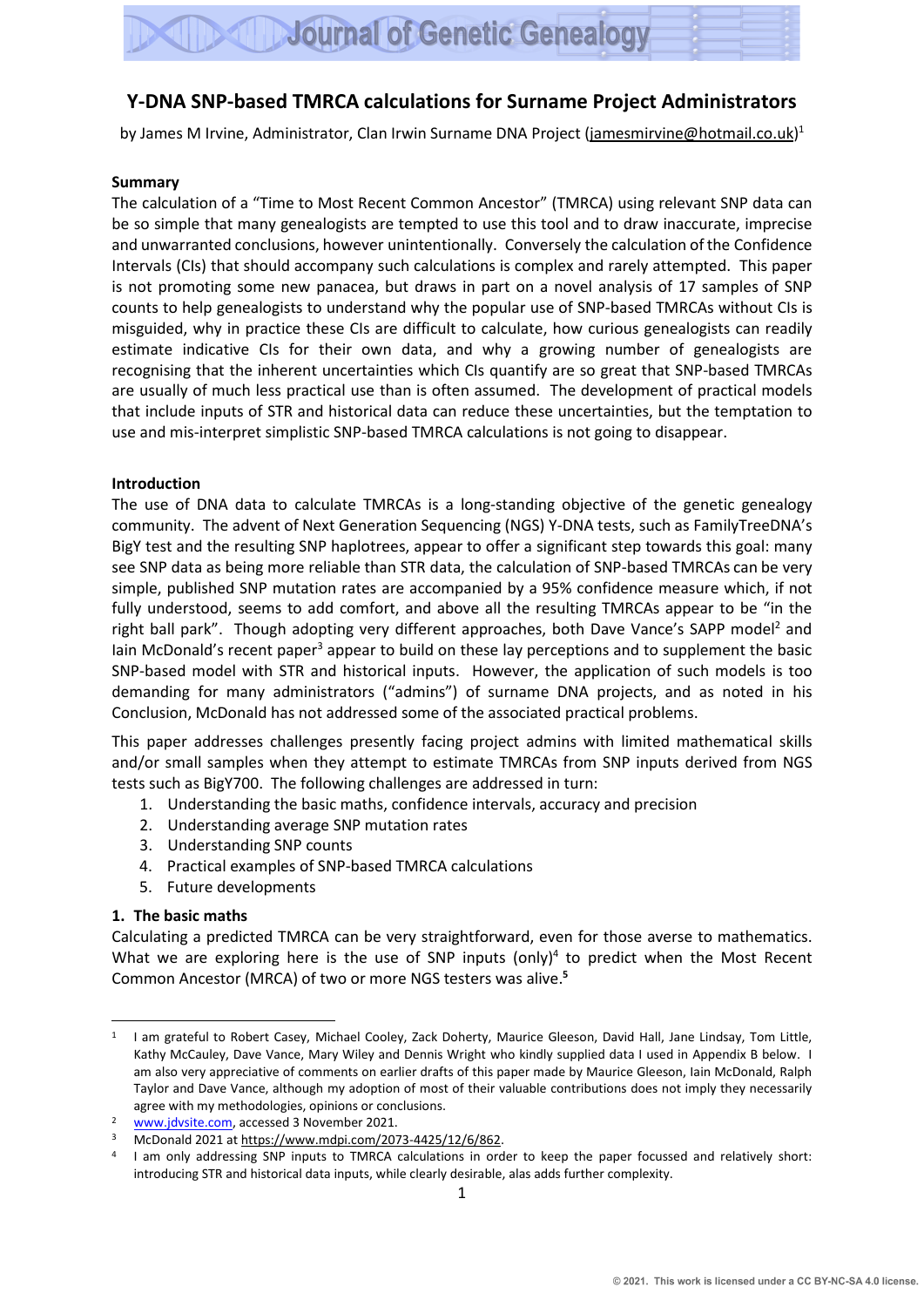#### **Y-DNA SNP-based TMRCA calculations for Surname Project Administrators**

by James M Irvine, Administrator, Clan Irwin Surname DNA Project [\(jamesmirvine@hotmail.co.uk\)](mailto:jamesmirvine@hotmail.co.uk)<sup>1</sup>

#### **Summary**

The calculation of a "Time to Most Recent Common Ancestor" (TMRCA) using relevant SNP data can be so simple that many genealogists are tempted to use this tool and to draw inaccurate, imprecise and unwarranted conclusions, however unintentionally. Conversely the calculation ofthe Confidence Intervals (CIs) that should accompany such calculations is complex and rarely attempted. This paper is not promoting some new panacea, but draws in part on a novel analysis of 17 samples of SNP counts to help genealogists to understand why the popular use of SNP-based TMRCAs without CIs is misguided, why in practice these CIs are difficult to calculate, how curious genealogists can readily estimate indicative CIs for their own data, and why a growing number of genealogists are recognising that the inherent uncertainties which CIs quantify are so great that SNP-based TMRCAs are usually of much less practical use than is often assumed. The development of practical models that include inputs of STR and historical data can reduce these uncertainties, but the temptation to use and mis-interpret simplistic SNP-based TMRCA calculations is not going to disappear.

#### **Introduction**

The use of DNA data to calculate TMRCAs is a long-standing objective of the genetic genealogy community. The advent of Next Generation Sequencing (NGS) Y-DNA tests, such as FamilyTreeDNA's BigY test and the resulting SNP haplotrees, appear to offer a significant step towards this goal: many see SNP data as being more reliable than STR data, the calculation of SNP-based TMRCAs can be very simple, published SNP mutation rates are accompanied by a 95% confidence measure which, if not fully understood, seems to add comfort, and above all the resulting TMRCAs appear to be "in the right ball park". Though adopting very different approaches, both Dave Vance's SAPP model<sup>2</sup> and Iain McDonald's recent paper<sup>3</sup> appear to build on these lay perceptions and to supplement the basic SNP-based model with STR and historical inputs. However, the application of such models is too demanding for many administrators ("admins") of surname DNA projects, and as noted in his Conclusion, McDonald has not addressed some of the associated practical problems.

This paper addresses challenges presently facing project admins with limited mathematical skills and/or small samples when they attempt to estimate TMRCAs from SNP inputs derived from NGS tests such as BigY700. The following challenges are addressed in turn:

- 1. Understanding the basic maths, confidence intervals, accuracy and precision
- 2. Understanding average SNP mutation rates
- 3. Understanding SNP counts
- 4. Practical examples of SNP-based TMRCA calculations
- 5. Future developments

#### **1. The basic maths**

Calculating a predicted TMRCA can be very straightforward, even for those averse to mathematics. What we are exploring here is the use of SNP inputs (only)<sup>4</sup> to predict when the Most Recent Common Ancestor (MRCA) of two or more NGS testers was alive. **5**

<sup>&</sup>lt;sup>1</sup> I am grateful to Robert Casey, Michael Cooley, Zack Doherty, Maurice Gleeson, David Hall, Jane Lindsay, Tom Little, Kathy McCauley, Dave Vance, Mary Wiley and Dennis Wright who kindly supplied data I used in Appendix B below. I am also very appreciative of comments on earlier drafts of this paper made by Maurice Gleeson, Iain McDonald, Ralph Taylor and Dave Vance, although my adoption of most of their valuable contributions does not imply they necessarily agree with my methodologies, opinions or conclusions.

<sup>&</sup>lt;sup>2</sup> [www.jdvsite.com,](http://www.jdvsite.com/) accessed 3 November 2021.

<sup>3</sup> McDonald 2021 a[t https://www.mdpi.com/2073-4425/12/6/862.](https://www.mdpi.com/2073-4425/12/6/862)

<sup>4</sup> I am only addressing SNP inputs to TMRCA calculations in order to keep the paper focussed and relatively short: introducing STR and historical data inputs, while clearly desirable, alas adds further complexity.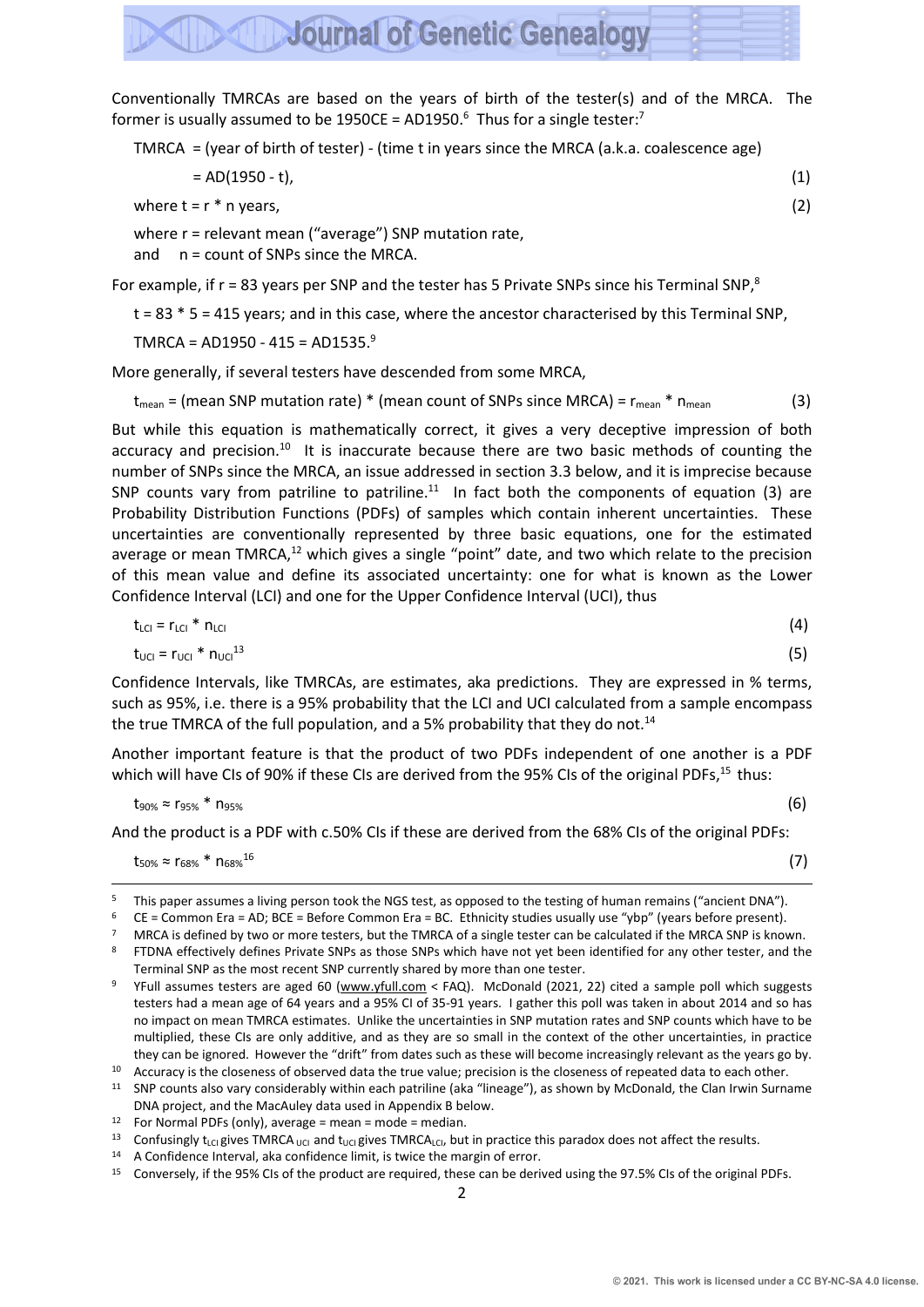Conventionally TMRCAs are based on the years of birth of the tester(s) and of the MRCA. The former is usually assumed to be 1950CE = AD1950. $^6$  Thus for a single tester:<sup>7</sup>

**Journal of Genetic Genealogy** 

TMRCA = (year of birth of tester) - (time t in years since the MRCA (a.k.a. coalescence age)

 $= AD(1950 - t),$  (1)

where  $t = r * n$  years, (2)

where r = relevant mean ("average") SNP mutation rate,

and n = count of SNPs since the MRCA.

For example, if  $r = 83$  years per SNP and the tester has 5 Private SNPs since his Terminal SNP,<sup>8</sup>

t = 83 \* 5 = 415 years; and in this case, where the ancestor characterised by this Terminal SNP,

TMRCA =  $AD1950 - 415 = AD1535.<sup>9</sup>$ 

More generally, if several testers have descended from some MRCA,

 $t_{mean}$  = (mean SNP mutation rate)  $*$  (mean count of SNPs since MRCA) =  $r_{mean}$   $*$   $n_{mean}$  (3)

But while this equation is mathematically correct, it gives a very deceptive impression of both accuracy and precision.<sup>10</sup> It is inaccurate because there are two basic methods of counting the number of SNPs since the MRCA, an issue addressed in section 3.3 below, and it is imprecise because SNP counts vary from patriline to patriline. $11$  In fact both the components of equation (3) are Probability Distribution Functions (PDFs) of samples which contain inherent uncertainties. These uncertainties are conventionally represented by three basic equations, one for the estimated average or mean TMRCA,<sup>12</sup> which gives a single "point" date, and two which relate to the precision of this mean value and define its associated uncertainty: one for what is known as the Lower Confidence Interval (LCI) and one for the Upper Confidence Interval (UCI), thus

$$
t_{\text{LCI}} = r_{\text{LCI}} \cdot n_{\text{LCI}} \tag{4}
$$

$$
t_{\text{UCI}} = r_{\text{UCI}} * n_{\text{UCI}}^{13} \tag{5}
$$

Confidence Intervals, like TMRCAs, are estimates, aka predictions. They are expressed in % terms, such as 95%, i.e. there is a 95% probability that the LCI and UCI calculated from a sample encompass the true TMRCA of the full population, and a 5% probability that they do not.<sup>14</sup>

Another important feature is that the product of two PDFs independent of one another is a PDF which will have CIs of 90% if these CIs are derived from the 95% CIs of the original PDFs,<sup>15</sup> thus:

$$
t_{90\%} \approx r_{95\%} * n_{95\%} \tag{6}
$$

And the product is a PDF with c.50% CIs if these are derived from the 68% CIs of the original PDFs:

(7)

 $t_{50\%} \approx r_{68\%}$  \*  $n_{68\%}$ <sup>16</sup>

<sup>5</sup> This paper assumes a living person took the NGS test, as opposed to the testing of human remains ("ancient DNA").<br>6 CE = Common Fra = AD: BCE = Bofore Common Fra = BC. Ethnicity studies usually use "yho" (yoars bofore pr

<sup>6</sup> CE = Common Era = AD; BCE = Before Common Era = BC. Ethnicity studies usually use "ybp" (years before present).

<sup>&</sup>lt;sup>7</sup> MRCA is defined by two or more testers, but the TMRCA of a single tester can be calculated if the MRCA SNP is known.

<sup>&</sup>lt;sup>8</sup> FTDNA effectively defines Private SNPs as those SNPs which have not yet been identified for any other tester, and the Terminal SNP as the most recent SNP currently shared by more than one tester.

YFull assumes testers are aged 60 [\(www.yfull.com](http://www.yfull.com/) < FAQ). McDonald (2021, 22) cited a sample poll which suggests testers had a mean age of 64 years and a 95% CI of 35-91 years. I gather this poll was taken in about 2014 and so has no impact on mean TMRCA estimates. Unlike the uncertainties in SNP mutation rates and SNP counts which have to be multiplied, these CIs are only additive, and as they are so small in the context of the other uncertainties, in practice they can be ignored. However the "drift" from dates such as these will become increasingly relevant as the years go by.

<sup>&</sup>lt;sup>10</sup> Accuracy is the closeness of observed data the true value; precision is the closeness of repeated data to each other.

 $11$  SNP counts also vary considerably within each patriline (aka "lineage"), as shown by McDonald, the Clan Irwin Surname DNA project, and the MacAuley data used in Appendix B below.

<sup>12</sup> For Normal PDFs (only), average = mean = mode = median.

<sup>13</sup> Confusingly t<sub>LCI</sub> gives TMRCA <sub>UCI</sub> and t<sub>UCI</sub> gives TMRCA<sub>LCI</sub>, but in practice this paradox does not affect the results.

<sup>14</sup> A Confidence Interval, aka confidence limit, is twice the margin of error.

<sup>15</sup> Conversely, if the 95% CIs of the product are required, these can be derived using the 97.5% CIs of the original PDFs.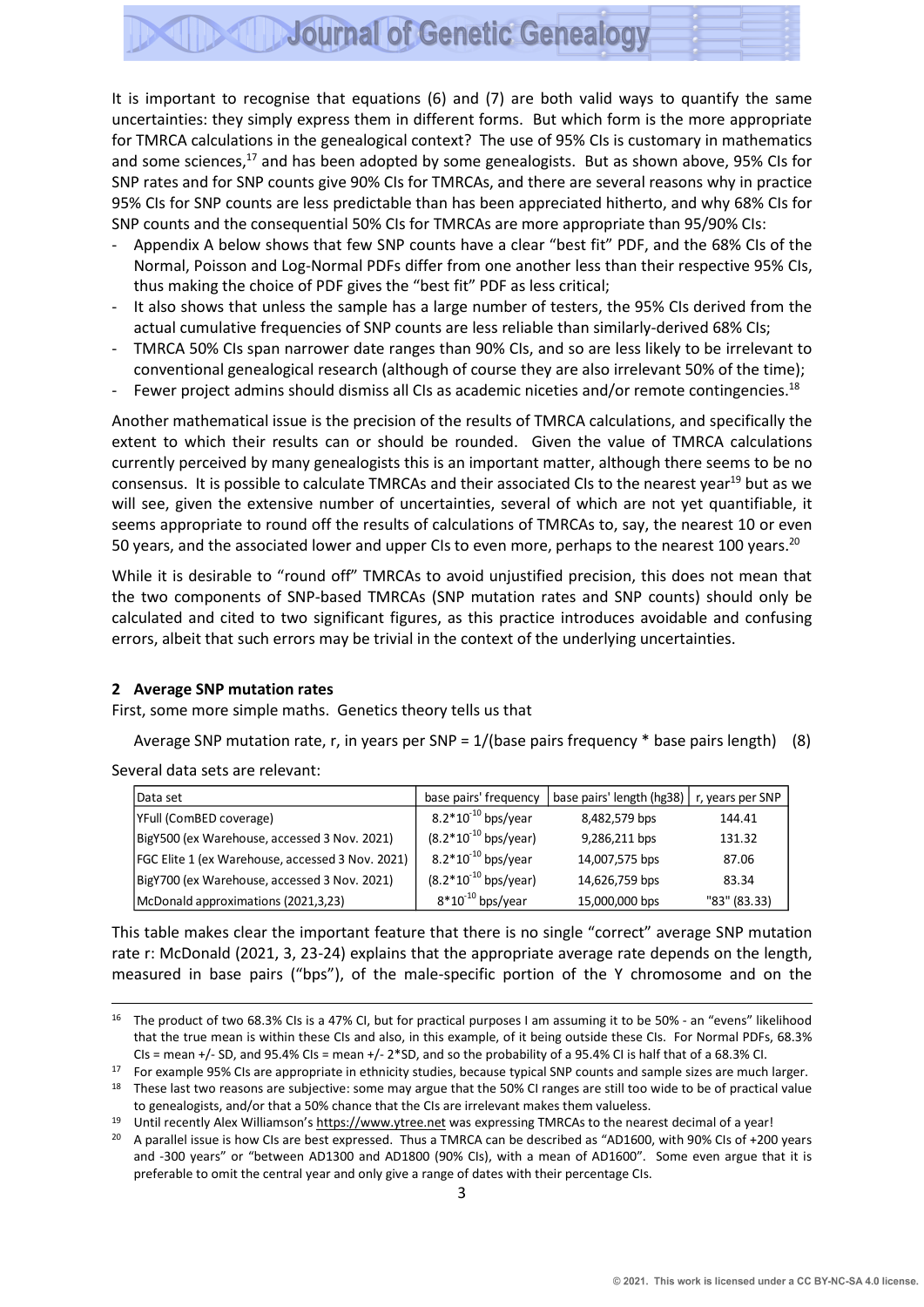It is important to recognise that equations (6) and (7) are both valid ways to quantify the same uncertainties: they simply express them in different forms. But which form is the more appropriate for TMRCA calculations in the genealogical context? The use of 95% CIs is customary in mathematics and some sciences,<sup>17</sup> and has been adopted by some genealogists. But as shown above, 95% CIs for SNP rates and for SNP counts give 90% CIs for TMRCAs, and there are several reasons why in practice 95% CIs for SNP counts are less predictable than has been appreciated hitherto, and why 68% CIs for SNP counts and the consequential 50% CIs for TMRCAs are more appropriate than 95/90% CIs:

- Appendix A below shows that few SNP counts have a clear "best fit" PDF, and the 68% CIs of the Normal, Poisson and Log-Normal PDFs differ from one another less than their respective 95% CIs, thus making the choice of PDF gives the "best fit" PDF as less critical;
- It also shows that unless the sample has a large number of testers, the 95% CIs derived from the actual cumulative frequencies of SNP counts are less reliable than similarly-derived 68% CIs;
- TMRCA 50% CIs span narrower date ranges than 90% CIs, and so are less likely to be irrelevant to conventional genealogical research (although of course they are also irrelevant 50% of the time);
- Fewer project admins should dismiss all CIs as academic niceties and/or remote contingencies.<sup>18</sup>

Another mathematical issue is the precision of the results of TMRCA calculations, and specifically the extent to which their results can or should be rounded. Given the value of TMRCA calculations currently perceived by many genealogists this is an important matter, although there seems to be no consensus. It is possible to calculate TMRCAs and their associated CIs to the nearest year<sup>19</sup> but as we will see, given the extensive number of uncertainties, several of which are not yet quantifiable, it seems appropriate to round off the results of calculations of TMRCAs to, say, the nearest 10 or even 50 years, and the associated lower and upper CIs to even more, perhaps to the nearest 100 years.<sup>20</sup>

While it is desirable to "round off" TMRCAs to avoid unjustified precision, this does not mean that the two components of SNP-based TMRCAs (SNP mutation rates and SNP counts) should only be calculated and cited to two significant figures, as this practice introduces avoidable and confusing errors, albeit that such errors may be trivial in the context of the underlying uncertainties.

#### **2 Average SNP mutation rates**

First, some more simple maths. Genetics theory tells us that

Average SNP mutation rate, r, in years per SNP =  $1/(base$  pairs frequency  $*$  base pairs length) (8)

Several data sets are relevant:

| Data set                                         | base pairs' frequency     | base pairs' length (hg38) | r, years per SNP |
|--------------------------------------------------|---------------------------|---------------------------|------------------|
| YFull (ComBED coverage)                          | $8.2*10^{-10}$ bps/year   | 8,482,579 bps             | 144.41           |
| BigY500 (ex Warehouse, accessed 3 Nov. 2021)     | $(8.2*10^{-10}$ bps/year) | 9,286,211 bps             | 131.32           |
| FGC Elite 1 (ex Warehouse, accessed 3 Nov. 2021) | $8.2*10^{-10}$ bps/year   | 14,007,575 bps            | 87.06            |
| BigY700 (ex Warehouse, accessed 3 Nov. 2021)     | $(8.2*10^{-10}$ bps/year) | 14,626,759 bps            | 83.34            |
| McDonald approximations (2021,3,23)              | $8*10^{-10}$ bps/year     | 15,000,000 bps            | "83" (83.33)     |

This table makes clear the important feature that there is no single "correct" average SNP mutation rate r: McDonald (2021, 3, 23-24) explains that the appropriate average rate depends on the length, measured in base pairs ("bps"), of the male-specific portion of the Y chromosome and on the

<sup>&</sup>lt;sup>16</sup> The product of two 68.3% CIs is a 47% CI, but for practical purposes I am assuming it to be 50% - an "evens" likelihood that the true mean is within these CIs and also, in this example, of it being outside these CIs. For Normal PDFs, 68.3% CIs = mean +/- SD, and 95.4% CIs = mean +/- 2\*SD, and so the probability of a 95.4% CI is half that of a 68.3% CI.

<sup>&</sup>lt;sup>17</sup> For example 95% CIs are appropriate in ethnicity studies, because typical SNP counts and sample sizes are much larger.

<sup>&</sup>lt;sup>18</sup> These last two reasons are subjective: some may argue that the 50% CI ranges are still too wide to be of practical value to genealogists, and/or that a 50% chance that the CIs are irrelevant makes them valueless.

<sup>19</sup> Until recently Alex Williamson's [https://www.ytree.net](https://www.ytree.net/) was expressing TMRCAs to the nearest decimal of a year!

<sup>&</sup>lt;sup>20</sup> A parallel issue is how CIs are best expressed. Thus a TMRCA can be described as "AD1600, with 90% CIs of +200 years and -300 years" or "between AD1300 and AD1800 (90% CIs), with a mean of AD1600". Some even argue that it is preferable to omit the central year and only give a range of dates with their percentage CIs.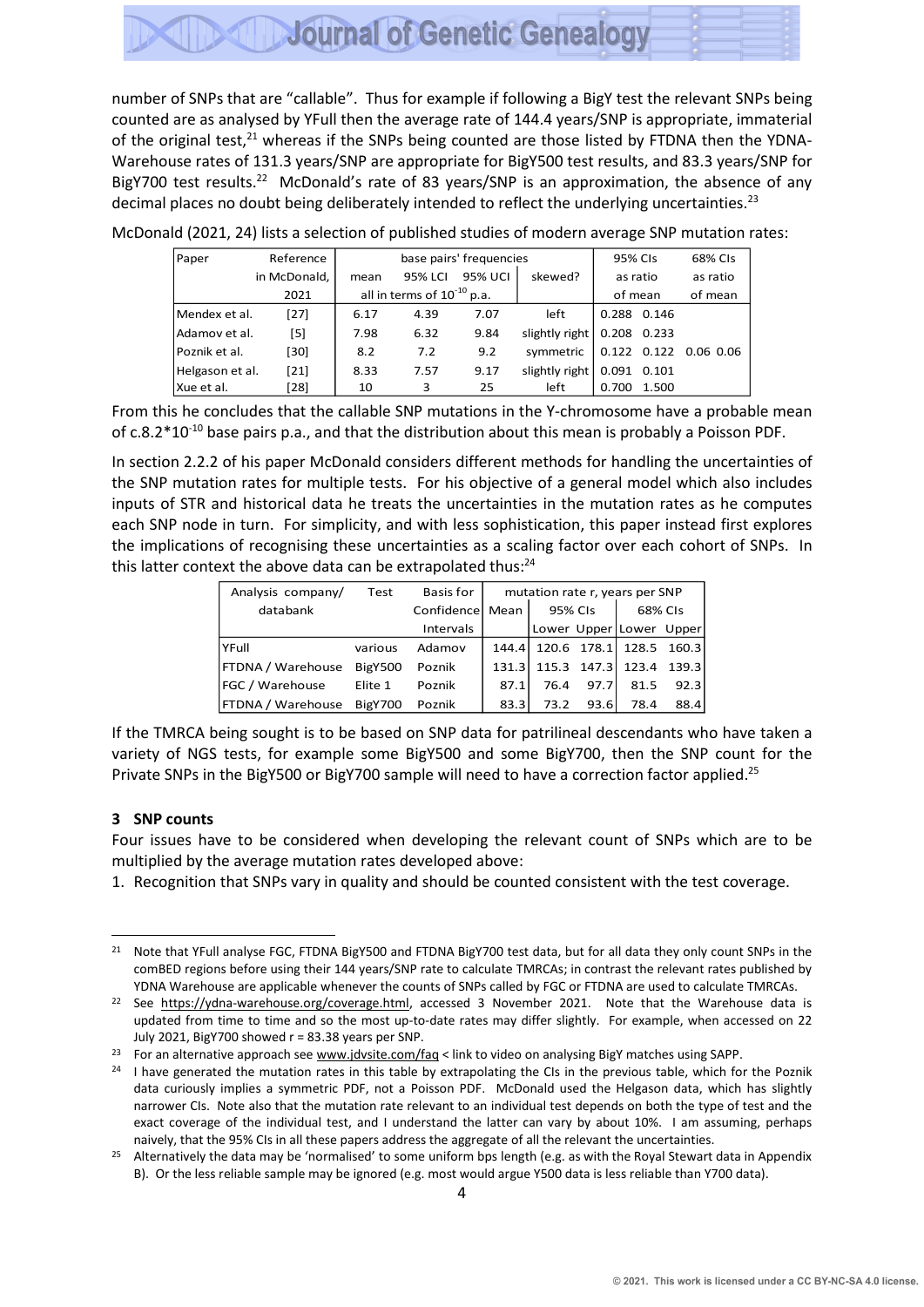number of SNPs that are "callable". Thus for example if following a BigY test the relevant SNPs being counted are as analysed by YFull then the average rate of 144.4 years/SNP is appropriate, immaterial of the original test, $21$  whereas if the SNPs being counted are those listed by FTDNA then the YDNA-Warehouse rates of 131.3 years/SNP are appropriate for BigY500 test results, and 83.3 years/SNP for BigY700 test results.<sup>22</sup> McDonald's rate of 83 years/SNP is an approximation, the absence of any decimal places no doubt being deliberately intended to reflect the underlying uncertainties.<sup>23</sup>

| Paper           | Reference    |      |                                 | base pairs' frequencies |                              | 95% CIs     |       | 68% CIs               |
|-----------------|--------------|------|---------------------------------|-------------------------|------------------------------|-------------|-------|-----------------------|
|                 | in McDonald, | mean | 95% LCI                         | 95% UCI                 | skewed?                      | as ratio    |       | as ratio              |
|                 | 2021         |      | all in terms of $10^{-10}$ p.a. |                         |                              | of mean     |       | of mean               |
| Mendex et al.   | $[27]$       | 6.17 | 4.39                            | 7.07                    | left                         | 0.288 0.146 |       |                       |
| Adamov et al.   | [5]          | 7.98 | 6.32                            | 9.84                    | slightly right $0.208$ 0.233 |             |       |                       |
| Poznik et al.   | [30]         | 8.2  | 7.2                             | 9.2                     | symmetric                    |             |       | 0.122 0.122 0.06 0.06 |
| Helgason et al. | $[21]$       | 8.33 | 7.57                            | 9.17                    | slightly right               | 0.091       | 0.101 |                       |
| Xue et al.      | [28]         | 10   | 3                               | 25                      | left                         | 0.700       | 1.500 |                       |

McDonald (2021, 24) lists a selection of published studies of modern average SNP mutation rates:

From this he concludes that the callable SNP mutations in the Y-chromosome have a probable mean of c.8.2\*10-10 base pairs p.a., and that the distribution about this mean is probably a Poisson PDF.

In section 2.2.2 of his paper McDonald considers different methods for handling the uncertainties of the SNP mutation rates for multiple tests. For his objective of a general model which also includes inputs of STR and historical data he treats the uncertainties in the mutation rates as he computes each SNP node in turn. For simplicity, and with less sophistication, this paper instead first explores the implications of recognising these uncertainties as a scaling factor over each cohort of SNPs. In this latter context the above data can be extrapolated thus:<sup>24</sup>

| Analysis company/         | Test           | Basis for        |       |      |             | mutation rate r, years per SNP |         |
|---------------------------|----------------|------------------|-------|------|-------------|--------------------------------|---------|
| databank                  |                | Confidencel Mean |       |      | 95% CIs     |                                | 68% CIs |
|                           |                | Intervals        |       |      |             | Lower Upper Lower Upper        |         |
| YFull                     | various        | Adamov           | 144.4 |      | 120.6 178.1 | 128.5                          | 160.3   |
| <b>FTDNA / Warehouse</b>  | <b>BigY500</b> | Poznik           | 131.3 |      | 115.3 147.3 | 123.4                          | 139.3   |
| FGC / Warehouse           | Elite 1        | Poznik           | 87.1  | 76.4 | 97.7        | 81.5                           | 92.3    |
| <b>IFTDNA / Warehouse</b> | <b>BigY700</b> | Poznik           | 83.3  | 73.2 | 93.6        | 78.4                           | 88.4    |

If the TMRCA being sought is to be based on SNP data for patrilineal descendants who have taken a variety of NGS tests, for example some BigY500 and some BigY700, then the SNP count for the Private SNPs in the BigY500 or BigY700 sample will need to have a correction factor applied.<sup>25</sup>

#### **3 SNP counts**

Four issues have to be considered when developing the relevant count of SNPs which are to be multiplied by the average mutation rates developed above:

1. Recognition that SNPs vary in quality and should be counted consistent with the test coverage.

<sup>&</sup>lt;sup>21</sup> Note that YFull analyse FGC, FTDNA BigY500 and FTDNA BigY700 test data, but for all data they only count SNPs in the comBED regions before using their 144 years/SNP rate to calculate TMRCAs; in contrast the relevant rates published by YDNA Warehouse are applicable whenever the counts of SNPs called by FGC or FTDNA are used to calculate TMRCAs.

<sup>&</sup>lt;sup>22</sup> See [https://ydna-warehouse.org/coverage.html,](https://ydna-warehouse.org/coverage.html) accessed 3 November 2021. Note that the Warehouse data is updated from time to time and so the most up-to-date rates may differ slightly. For example, when accessed on 22 July 2021, BigY700 showed r = 83.38 years per SNP.

<sup>&</sup>lt;sup>23</sup> For an alternative approach see [www.jdvsite.com/faq](http://www.jdvsite.com/faq) < link to video on analysing BigY matches using SAPP.

<sup>&</sup>lt;sup>24</sup> I have generated the mutation rates in this table by extrapolating the CIs in the previous table, which for the Poznik data curiously implies a symmetric PDF, not a Poisson PDF. McDonald used the Helgason data, which has slightly narrower CIs. Note also that the mutation rate relevant to an individual test depends on both the type of test and the exact coverage of the individual test, and I understand the latter can vary by about 10%. I am assuming, perhaps naively, that the 95% CIs in all these papers address the aggregate of all the relevant the uncertainties.

<sup>&</sup>lt;sup>25</sup> Alternatively the data may be 'normalised' to some uniform bps length (e.g. as with the Royal Stewart data in Appendix B). Or the less reliable sample may be ignored (e.g. most would argue Y500 data is less reliable than Y700 data).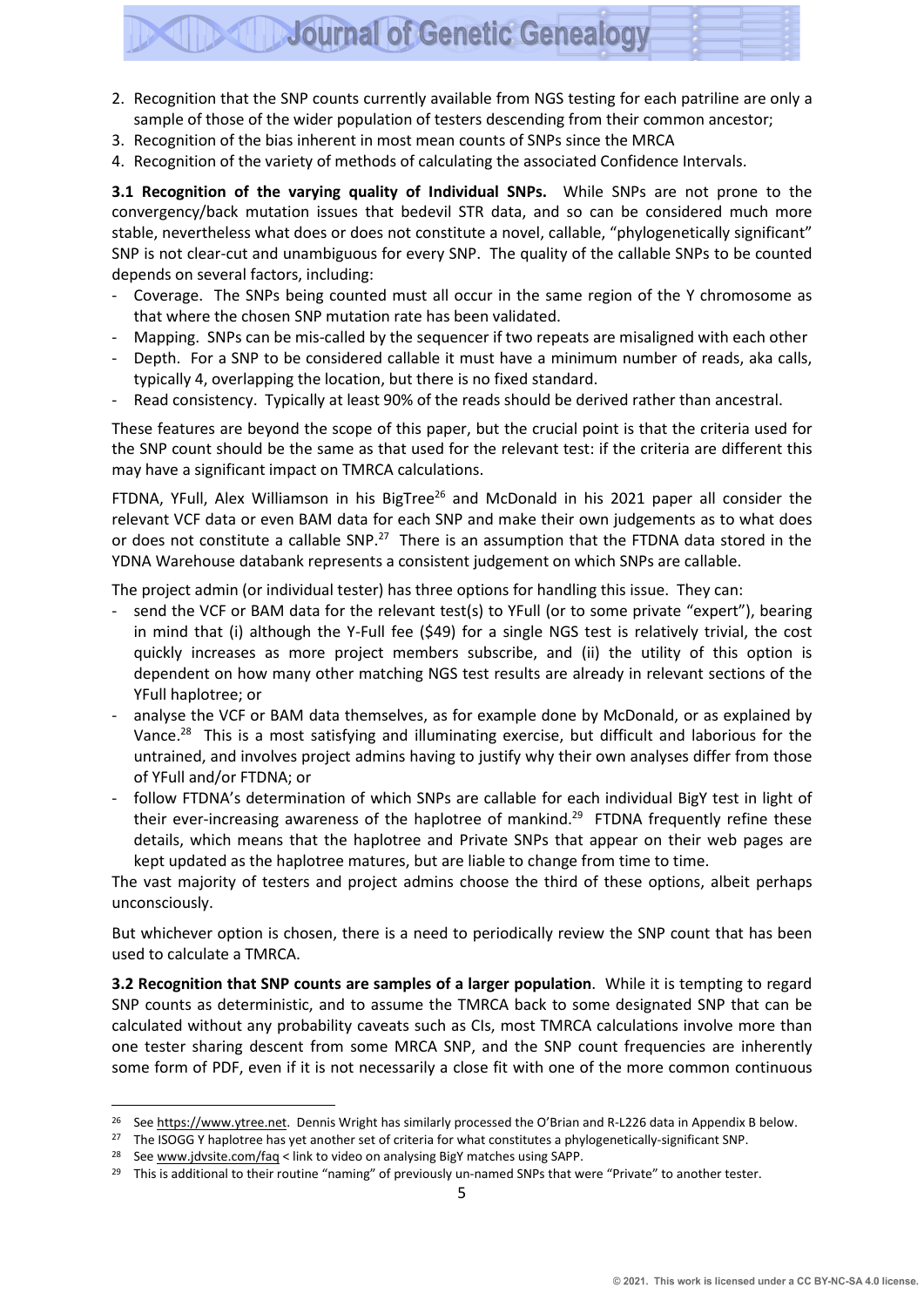- 2. Recognition that the SNP counts currently available from NGS testing for each patriline are only a sample of those of the wider population of testers descending from their common ancestor;
- 3. Recognition of the bias inherent in most mean counts of SNPs since the MRCA
- 4. Recognition of the variety of methods of calculating the associated Confidence Intervals.

**3.1 Recognition of the varying quality of Individual SNPs.** While SNPs are not prone to the convergency/back mutation issues that bedevil STR data, and so can be considered much more stable, nevertheless what does or does not constitute a novel, callable, "phylogenetically significant" SNP is not clear-cut and unambiguous for every SNP. The quality of the callable SNPs to be counted depends on several factors, including:

- Coverage. The SNPs being counted must all occur in the same region of the Y chromosome as that where the chosen SNP mutation rate has been validated.
- Mapping. SNPs can be mis-called by the sequencer if two repeats are misaligned with each other
- Depth. For a SNP to be considered callable it must have a minimum number of reads, aka calls, typically 4, overlapping the location, but there is no fixed standard.
- Read consistency. Typically at least 90% of the reads should be derived rather than ancestral.

These features are beyond the scope of this paper, but the crucial point is that the criteria used for the SNP count should be the same as that used for the relevant test: if the criteria are different this may have a significant impact on TMRCA calculations.

FTDNA, YFull, Alex Williamson in his BigTree<sup>26</sup> and McDonald in his 2021 paper all consider the relevant VCF data or even BAM data for each SNP and make their own judgements as to what does or does not constitute a callable SNP.<sup>27</sup> There is an assumption that the FTDNA data stored in the YDNA Warehouse databank represents a consistent judgement on which SNPs are callable.

The project admin (or individual tester) has three options for handling this issue. They can:

- send the VCF or BAM data for the relevant test(s) to YFull (or to some private "expert"), bearing in mind that (i) although the Y-Full fee (\$49) for a single NGS test is relatively trivial, the cost quickly increases as more project members subscribe, and (ii) the utility of this option is dependent on how many other matching NGS test results are already in relevant sections of the YFull haplotree; or
- analyse the VCF or BAM data themselves, as for example done by McDonald, or as explained by Vance.<sup>28</sup> This is a most satisfying and illuminating exercise, but difficult and laborious for the untrained, and involves project admins having to justify why their own analyses differ from those of YFull and/or FTDNA; or
- follow FTDNA's determination of which SNPs are callable for each individual BigY test in light of their ever-increasing awareness of the haplotree of mankind.<sup>29</sup> FTDNA frequently refine these details, which means that the haplotree and Private SNPs that appear on their web pages are kept updated as the haplotree matures, but are liable to change from time to time.

The vast majority of testers and project admins choose the third of these options, albeit perhaps unconsciously.

But whichever option is chosen, there is a need to periodically review the SNP count that has been used to calculate a TMRCA.

**3.2 Recognition that SNP counts are samples of a larger population**. While it is tempting to regard SNP counts as deterministic, and to assume the TMRCA back to some designated SNP that can be calculated without any probability caveats such as CIs, most TMRCA calculations involve more than one tester sharing descent from some MRCA SNP, and the SNP count frequencies are inherently some form of PDF, even if it is not necessarily a close fit with one of the more common continuous

<sup>&</sup>lt;sup>26</sup> See [https://www.ytree.net.](https://www.ytree.net/) Dennis Wright has similarly processed the O'Brian and R-L226 data in Appendix B below.

<sup>&</sup>lt;sup>27</sup> The ISOGG Y haplotree has yet another set of criteria for what constitutes a phylogenetically-significant SNP.

Se[e www.jdvsite.com/faq](http://www.jdvsite.com/faq) < link to video on analysing BigY matches using SAPP.

<sup>&</sup>lt;sup>29</sup> This is additional to their routine "naming" of previously un-named SNPs that were "Private" to another tester.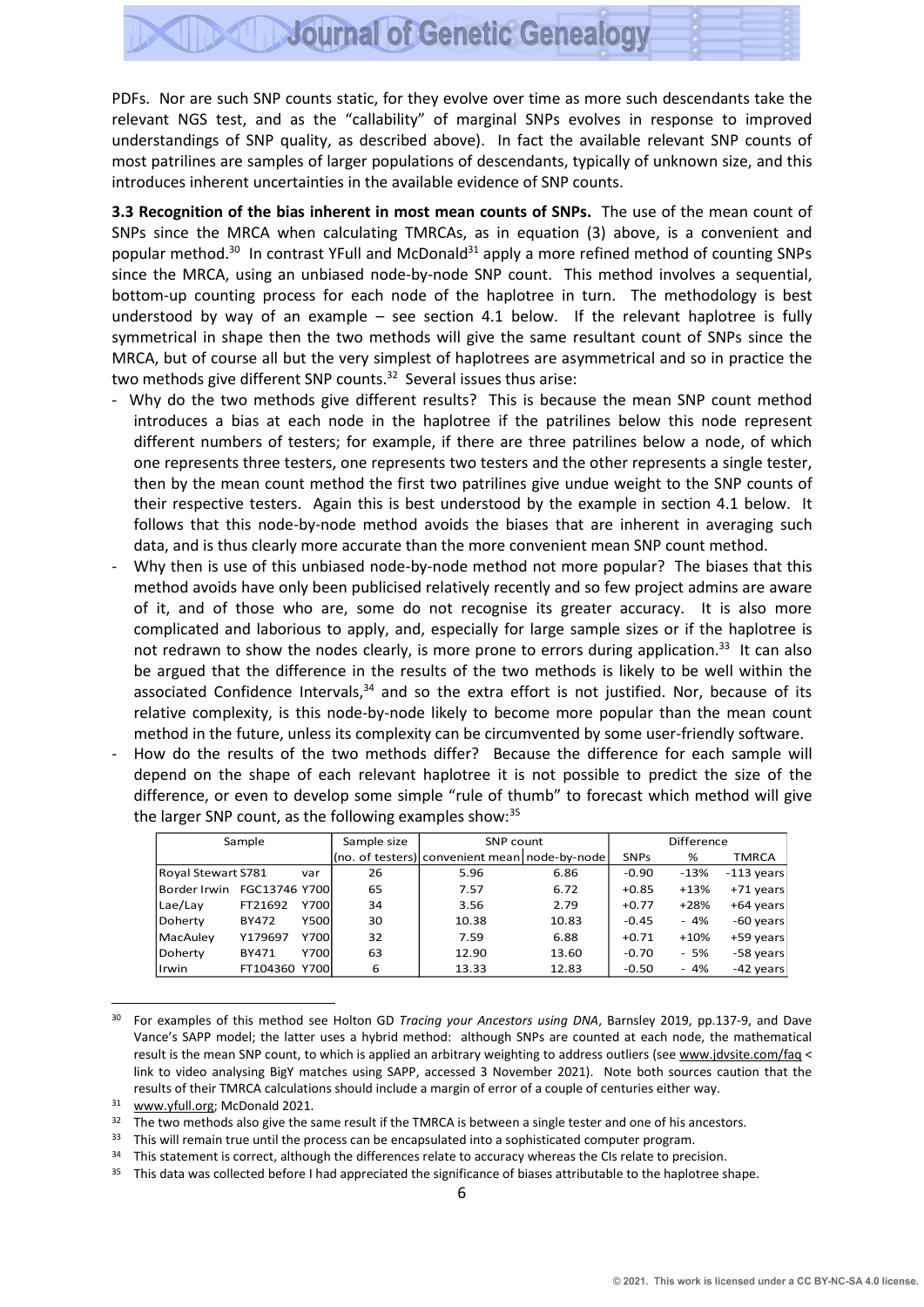PDFs. Nor are such SNP counts static, for they evolve over time as more such descendants take the relevant NGS test, and as the "callability" of marginal SNPs evolves in response to improved understandings of SNP quality, as described above). In fact the available relevant SNP counts of most patrilines are samples of larger populations of descendants, typically of unknown size, and this introduces inherent uncertainties in the available evidence of SNP counts.

**3.3 Recognition of the bias inherent in most mean counts of SNPs.** The use of the mean count of SNPs since the MRCA when calculating TMRCAs, as in equation (3) above, is a convenient and popular method.<sup>30</sup> In contrast YFull and McDonald<sup>31</sup> apply a more refined method of counting SNPs since the MRCA, using an unbiased node-by-node SNP count. This method involves a sequential, bottom-up counting process for each node of the haplotree in turn. The methodology is best understood by way of an example – see section 4.1 below. If the relevant haplotree is fully symmetrical in shape then the two methods will give the same resultant count of SNPs since the MRCA, but of course all but the very simplest of haplotrees are asymmetrical and so in practice the two methods give different SNP counts.<sup>32</sup> Several issues thus arise:

- Why do the two methods give different results? This is because the mean SNP count method introduces a bias at each node in the haplotree if the patrilines below this node represent different numbers of testers; for example, if there are three patrilines below a node, of which one represents three testers, one represents two testers and the other represents a single tester, then by the mean count method the first two patrilines give undue weight to the SNP counts of their respective testers. Again this is best understood by the example in section 4.1 below. It follows that this node-by-node method avoids the biases that are inherent in averaging such data, and is thus clearly more accurate than the more convenient mean SNP count method.
- Why then is use of this unbiased node-by-node method not more popular? The biases that this method avoids have only been publicised relatively recently and so few project admins are aware of it, and of those who are, some do not recognise its greater accuracy. It is also more complicated and laborious to apply, and, especially for large sample sizes or if the haplotree is not redrawn to show the nodes clearly, is more prone to errors during application.<sup>33</sup> It can also be argued that the difference in the results of the two methods is likely to be well within the associated Confidence Intervals,<sup>34</sup> and so the extra effort is not justified. Nor, because of its relative complexity, is this node-by-node likely to become more popular than the mean count method in the future, unless its complexity can be circumvented by some user-friendly software.
- How do the results of the two methods differ? Because the difference for each sample will depend on the shape of each relevant haplotree it is not possible to predict the size of the difference, or even to develop some simple "rule of thumb" to forecast which method will give the larger SNP count, as the following examples show: 35

|                    | Sample        |       | Sample size | SNP count                                     |       |             | Difference |              |
|--------------------|---------------|-------|-------------|-----------------------------------------------|-------|-------------|------------|--------------|
|                    |               |       |             | (no. of testers) convenient mean node-by-node |       | <b>SNPs</b> | %          | TMRCA        |
| Royal Stewart S781 |               | var   | 26          | 5.96                                          | 6.86  | $-0.90$     | $-13%$     | $-113$ years |
| Border Irwin       | FGC13746 Y700 |       | 65          | 7.57                                          | 6.72  | $+0.85$     | $+13%$     | +71 years    |
| Lae/Lay            | FT21692       | Y700  | 34          | 3.56                                          | 2.79  | $+0.77$     | $+28%$     | +64 years    |
| Doherty            | <b>BY472</b>  | Y500l | 30          | 10.38                                         | 10.83 | $-0.45$     | $-4%$      | -60 years    |
| MacAuley           | Y179697       | Y700l | 32          | 7.59                                          | 6.88  | $+0.71$     | $+10%$     | +59 years    |
| Doherty            | <b>BY471</b>  | Y700  | 63          | 12.90                                         | 13.60 | $-0.70$     | $-5%$      | -58 years    |
| Irwin              | FT104360      | Y700  | 6           | 13.33                                         | 12.83 | -0.50       | $-4%$      | -42 years    |

<sup>30</sup> For examples of this method see Holton GD *Tracing your Ancestors using DNA*, Barnsley 2019, pp.137-9, and Dave Vance's SAPP model; the latter uses a hybrid method: although SNPs are counted at each node, the mathematical result is the mean SNP count, to which is applied an arbitrary weighting to address outliers (see [www.jdvsite.com/faq](http://www.jdvsite.com/faq) < link to video analysing BigY matches using SAPP, accessed 3 November 2021). Note both sources caution that the results of their TMRCA calculations should include a margin of error of a couple of centuries either way.

<sup>31</sup> [www.yfull.o](http://www.yfull/)rg; McDonald 2021.

32 The two methods also give the same result if the TMRCA is between a single tester and one of his ancestors.

33 This will remain true until the process can be encapsulated into a sophisticated computer program.

- <sup>34</sup> This statement is correct, although the differences relate to accuracy whereas the CIs relate to precision.
- <sup>35</sup> This data was collected before I had appreciated the significance of biases attributable to the haplotree shape.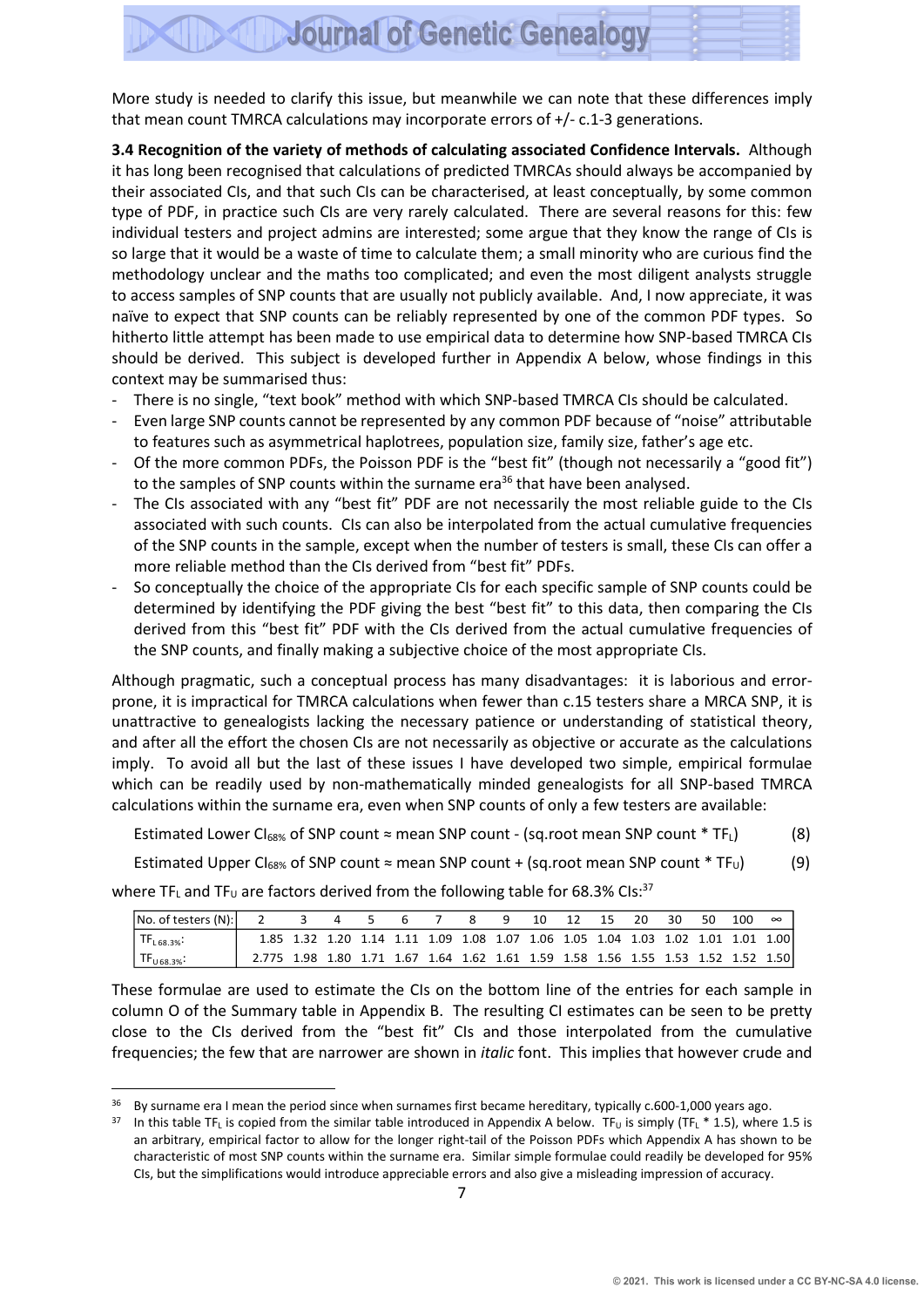More study is needed to clarify this issue, but meanwhile we can note that these differences imply that mean count TMRCA calculations may incorporate errors of +/- c.1-3 generations.

**3.4 Recognition of the variety of methods of calculating associated Confidence Intervals.** Although it has long been recognised that calculations of predicted TMRCAs should always be accompanied by their associated CIs, and that such CIs can be characterised, at least conceptually, by some common type of PDF, in practice such CIs are very rarely calculated. There are several reasons for this: few individual testers and project admins are interested; some argue that they know the range of CIs is so large that it would be a waste of time to calculate them; a small minority who are curious find the methodology unclear and the maths too complicated; and even the most diligent analysts struggle to access samples of SNP counts that are usually not publicly available. And, I now appreciate, it was naïve to expect that SNP counts can be reliably represented by one of the common PDF types. So hitherto little attempt has been made to use empirical data to determine how SNP-based TMRCA CIs should be derived. This subject is developed further in Appendix A below, whose findings in this context may be summarised thus:

- There is no single, "text book" method with which SNP-based TMRCA CIs should be calculated.
- Even large SNP counts cannot be represented by any common PDF because of "noise" attributable to features such as asymmetrical haplotrees, population size, family size, father's age etc.
- Of the more common PDFs, the Poisson PDF is the "best fit" (though not necessarily a "good fit") to the samples of SNP counts within the surname era<sup>36</sup> that have been analysed.
- The CIs associated with any "best fit" PDF are not necessarily the most reliable guide to the CIs associated with such counts. CIs can also be interpolated from the actual cumulative frequencies of the SNP counts in the sample, except when the number of testers is small, these CIs can offer a more reliable method than the CIs derived from "best fit" PDFs.
- So conceptually the choice of the appropriate CIs for each specific sample of SNP counts could be determined by identifying the PDF giving the best "best fit" to this data, then comparing the CIs derived from this "best fit" PDF with the CIs derived from the actual cumulative frequencies of the SNP counts, and finally making a subjective choice of the most appropriate CIs.

Although pragmatic, such a conceptual process has many disadvantages: it is laborious and errorprone, it is impractical for TMRCA calculations when fewer than c.15 testers share a MRCA SNP, it is unattractive to genealogists lacking the necessary patience or understanding of statistical theory, and after all the effort the chosen CIs are not necessarily as objective or accurate as the calculations imply. To avoid all but the last of these issues I have developed two simple, empirical formulae which can be readily used by non-mathematically minded genealogists for all SNP-based TMRCA calculations within the surname era, even when SNP counts of only a few testers are available:

Estimated Lower Cl<sub>68%</sub> of SNP count  $\approx$  mean SNP count - (sq.root mean SNP count \* TF<sub>L</sub>) (8)

Estimated Upper Cl<sub>68%</sub> of SNP count  $\approx$  mean SNP count + (sq.root mean SNP count \* TF<sub>U</sub>) (9)

where TF<sub>L</sub> and TF<sub>U</sub> are factors derived from the following table for 68.3% CIs:<sup>37</sup>

| No. of testers (N):            |                                                                                  |                                                                                 | 3 4 5 6 7 |  | - 8 | - 9 |  |  | 10 12 15 20 30 50 100 |  | $\infty$ |
|--------------------------------|----------------------------------------------------------------------------------|---------------------------------------------------------------------------------|-----------|--|-----|-----|--|--|-----------------------|--|----------|
| $T_{1.68.3\%}$                 |                                                                                  | 1.85 1.32 1.20 1.14 1.11 1.09 1.08 1.07 1.06 1.05 1.04 1.03 1.02 1.01 1.01 1.00 |           |  |     |     |  |  |                       |  |          |
| $\vert$ TF <sub>U68.3%</sub> : | 2.775 1.98 1.80 1.71 1.67 1.64 1.62 1.61 1.59 1.58 1.56 1.55 1.53 1.52 1.52 1.50 |                                                                                 |           |  |     |     |  |  |                       |  |          |

These formulae are used to estimate the CIs on the bottom line of the entries for each sample in column O of the Summary table in Appendix B. The resulting CI estimates can be seen to be pretty close to the CIs derived from the "best fit" CIs and those interpolated from the cumulative frequencies; the few that are narrower are shown in *italic* font. This implies that however crude and

By surname era I mean the period since when surnames first became hereditary, typically c.600-1,000 years ago.

<sup>&</sup>lt;sup>37</sup> In this table TF<sub>L</sub> is copied from the similar table introduced in Appendix A below. TF<sub>U</sub> is simply (TF<sub>L</sub> \* 1.5), where 1.5 is an arbitrary, empirical factor to allow for the longer right-tail of the Poisson PDFs which Appendix A has shown to be characteristic of most SNP counts within the surname era. Similar simple formulae could readily be developed for 95% CIs, but the simplifications would introduce appreciable errors and also give a misleading impression of accuracy.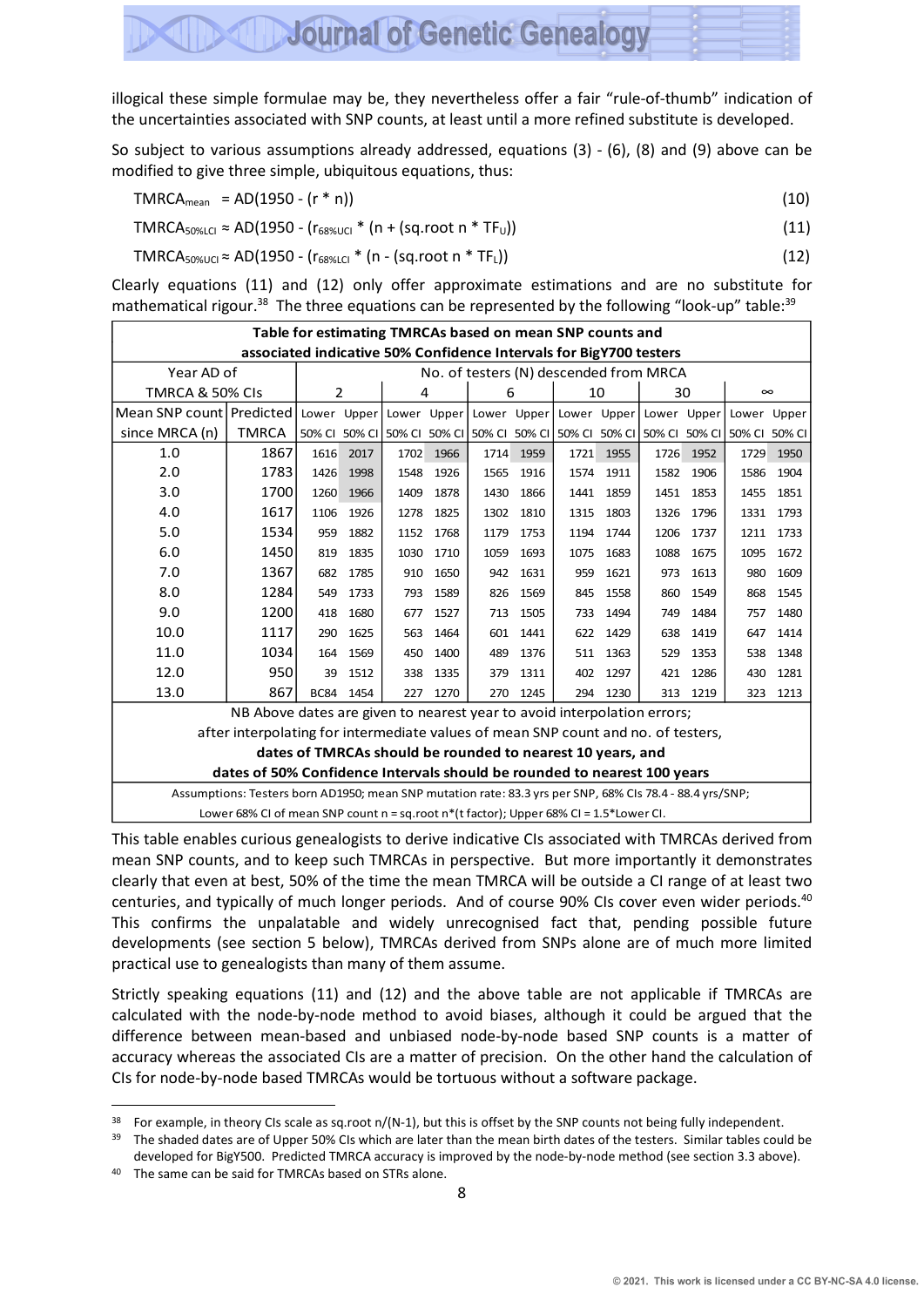illogical these simple formulae may be, they nevertheless offer a fair "rule-of-thumb" indication of the uncertainties associated with SNP counts, at least until a more refined substitute is developed.

**Journal of Genetic Genealogy** 

So subject to various assumptions already addressed, equations (3) - (6), (8) and (9) above can be modified to give three simple, ubiquitous equations, thus:

$$
TMRCA_{mean} = AD(1950 - (r * n))
$$
\n(10)

 $TMRCA_{50\% LCl} \approx AD(1950 - (r_{68\% UCl} * (n + (sq-root n * TF<sub>U</sub>)))$  (11)

 $TMRCA_{50\%UCl} \approx AD(1950 - (r_{68\%UCl} * (n - (sq-root n * TF<sub>L</sub>)))$  (12)

Clearly equations (11) and (12) only offer approximate estimations and are no substitute for mathematical rigour.<sup>38</sup> The three equations can be represented by the following "look-up" table:<sup>39</sup>

|                                                                                                            | Table for estimating TMRCAs based on mean SNP counts and<br>associated indicative 50% Confidence Intervals for BigY700 testers |      |           |      |      |                                                                                     |      |      |      |      |      |             |        |  |
|------------------------------------------------------------------------------------------------------------|--------------------------------------------------------------------------------------------------------------------------------|------|-----------|------|------|-------------------------------------------------------------------------------------|------|------|------|------|------|-------------|--------|--|
|                                                                                                            |                                                                                                                                |      |           |      |      |                                                                                     |      |      |      |      |      |             |        |  |
| Year AD of                                                                                                 |                                                                                                                                |      |           |      |      | No. of testers (N) descended from MRCA                                              |      |      |      |      |      |             |        |  |
| TMRCA & 50% CIs                                                                                            |                                                                                                                                |      | 2         |      | 4    | 6                                                                                   |      |      | 10   |      | 30   | $\infty$    |        |  |
| Mean SNP count   Predicted   Lower Upper   Lower Upper   Lower Upper   Lower Upper   Lower Upper           |                                                                                                                                |      |           |      |      |                                                                                     |      |      |      |      |      | Lower Upper |        |  |
| since MRCA (n)                                                                                             | <b>TMRCA</b>                                                                                                                   |      |           |      |      | 50% CI 50% CI 50% CI 50% CI 50% CI 50% CI 50% CI 50% CI 50% CI 50% CI 50% CI 50% CI |      |      |      |      |      |             | 50% CI |  |
| 1.0                                                                                                        | 1867                                                                                                                           | 1616 | 2017      | 1702 | 1966 | 1714                                                                                | 1959 | 1721 | 1955 | 1726 | 1952 | 1729        | 1950   |  |
| 2.0                                                                                                        | 1783                                                                                                                           | 1426 | 1998      | 1548 | 1926 | 1565                                                                                | 1916 | 1574 | 1911 | 1582 | 1906 | 1586        | 1904   |  |
| 3.0                                                                                                        | 1700                                                                                                                           | 1260 | 1966      | 1409 | 1878 | 1430                                                                                | 1866 | 1441 | 1859 | 1451 | 1853 | 1455        | 1851   |  |
| 4.0                                                                                                        | 1617                                                                                                                           | 1106 | 1926      | 1278 | 1825 | 1302                                                                                | 1810 | 1315 | 1803 | 1326 | 1796 | 1331        | 1793   |  |
| 5.0                                                                                                        | 1534                                                                                                                           | 959  | 1882      | 1152 | 1768 | 1179                                                                                | 1753 | 1194 | 1744 | 1206 | 1737 | 1211        | 1733   |  |
| 6.0<br>1450<br>1835<br>1030<br>1675<br>1672<br>819<br>1710<br>1059<br>1693<br>1075<br>1683<br>1088<br>1095 |                                                                                                                                |      |           |      |      |                                                                                     |      |      |      |      |      |             |        |  |
| 7.0                                                                                                        | 1367                                                                                                                           | 682  | 1785      | 910  | 1650 | 942                                                                                 | 1631 | 959  | 1621 | 973  | 1613 | 980         | 1609   |  |
| 8.0                                                                                                        | 1284                                                                                                                           | 549  | 1733      | 793  | 1589 | 826                                                                                 | 1569 | 845  | 1558 | 860  | 1549 | 868         | 1545   |  |
| 9.0                                                                                                        | 1200                                                                                                                           | 418  | 1680      | 677  | 1527 | 713                                                                                 | 1505 | 733  | 1494 | 749  | 1484 | 757         | 1480   |  |
| 10.0                                                                                                       | 1117                                                                                                                           | 290  | 1625      | 563  | 1464 | 601                                                                                 | 1441 | 622  | 1429 | 638  | 1419 | 647         | 1414   |  |
| 11.0                                                                                                       | 1034                                                                                                                           | 164  | 1569      | 450  | 1400 | 489                                                                                 | 1376 | 511  | 1363 | 529  | 1353 | 538         | 1348   |  |
| 12.0                                                                                                       | 950                                                                                                                            | 39   | 1512      | 338  | 1335 | 379                                                                                 | 1311 | 402  | 1297 | 421  | 1286 | 430         | 1281   |  |
| 13.0                                                                                                       | 867                                                                                                                            |      | BC84 1454 | 227  | 1270 | 270                                                                                 | 1245 | 294  | 1230 | 313  | 1219 | 323         | 1213   |  |
|                                                                                                            | NB Above dates are given to nearest year to avoid interpolation errors;                                                        |      |           |      |      |                                                                                     |      |      |      |      |      |             |        |  |
|                                                                                                            | after interpolating for intermediate values of mean SNP count and no. of testers,                                              |      |           |      |      |                                                                                     |      |      |      |      |      |             |        |  |
| dates of TMRCAs should be rounded to nearest 10 years, and                                                 |                                                                                                                                |      |           |      |      |                                                                                     |      |      |      |      |      |             |        |  |
| dates of 50% Confidence Intervals should be rounded to nearest 100 years                                   |                                                                                                                                |      |           |      |      |                                                                                     |      |      |      |      |      |             |        |  |
| Assumptions: Testers born AD1950; mean SNP mutation rate: 83.3 yrs per SNP, 68% CIs 78.4 - 88.4 yrs/SNP;   |                                                                                                                                |      |           |      |      |                                                                                     |      |      |      |      |      |             |        |  |
|                                                                                                            | Lower 68% CI of mean SNP count $n = sq(root n*(t factor))$ ; Upper 68% CI = 1.5*Lower CI.                                      |      |           |      |      |                                                                                     |      |      |      |      |      |             |        |  |

This table enables curious genealogists to derive indicative CIs associated with TMRCAs derived from mean SNP counts, and to keep such TMRCAs in perspective. But more importantly it demonstrates clearly that even at best, 50% of the time the mean TMRCA will be outside a CI range of at least two centuries, and typically of much longer periods. And of course 90% CIs cover even wider periods. 40 This confirms the unpalatable and widely unrecognised fact that, pending possible future developments (see section 5 below), TMRCAs derived from SNPs alone are of much more limited practical use to genealogists than many of them assume.

Strictly speaking equations (11) and (12) and the above table are not applicable if TMRCAs are calculated with the node-by-node method to avoid biases, although it could be argued that the difference between mean-based and unbiased node-by-node based SNP counts is a matter of accuracy whereas the associated CIs are a matter of precision. On the other hand the calculation of CIs for node-by-node based TMRCAs would be tortuous without a software package.

<sup>38</sup> For example, in theory CIs scale as sq.root  $n/(N-1)$ , but this is offset by the SNP counts not being fully independent.

<sup>&</sup>lt;sup>39</sup> The shaded dates are of Upper 50% CIs which are later than the mean birth dates of the testers. Similar tables could be developed for BigY500. Predicted TMRCA accuracy is improved by the node-by-node method (see section 3.3 above).

<sup>40</sup> The same can be said for TMRCAs based on STRs alone.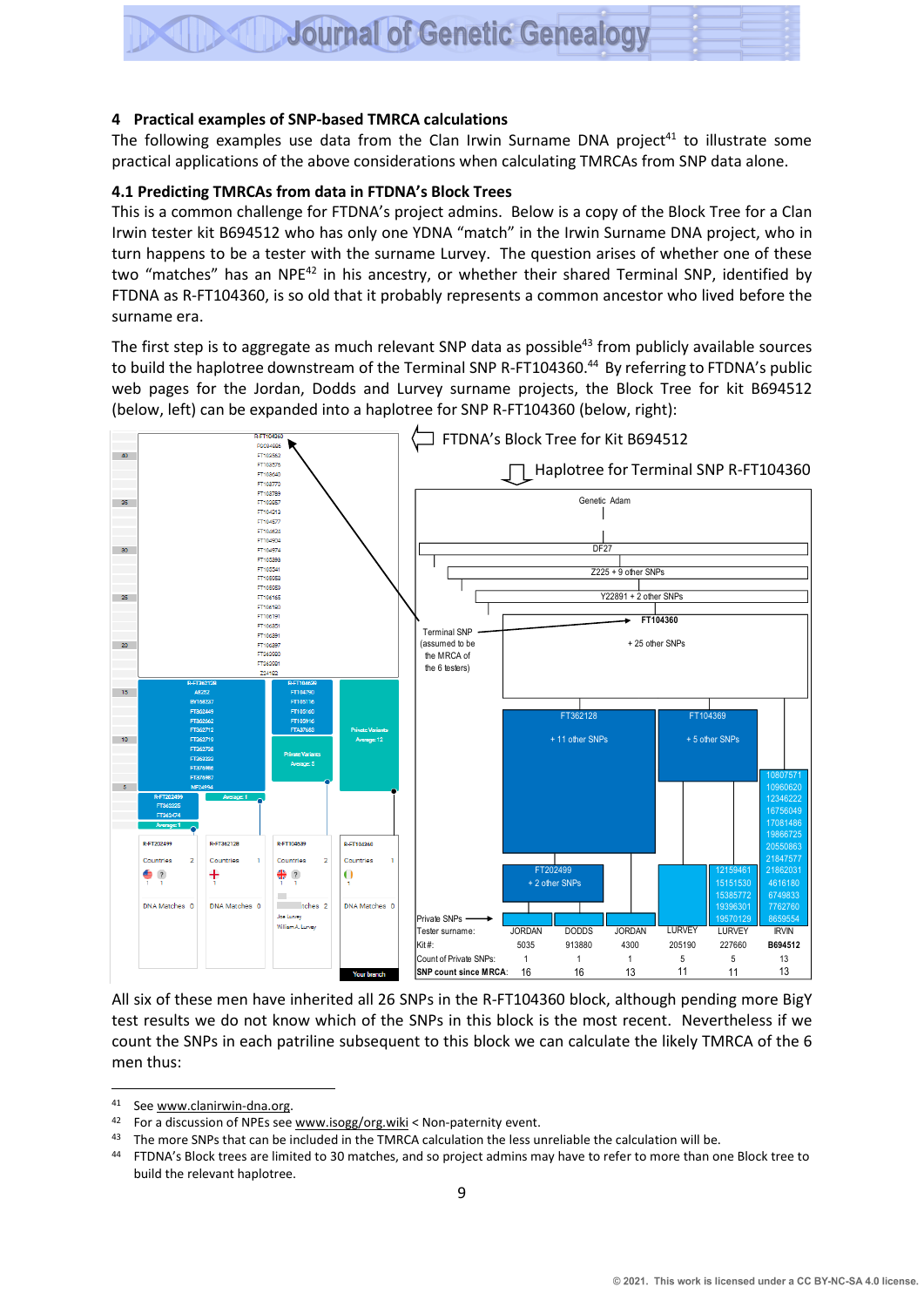#### **4 Practical examples of SNP-based TMRCA calculations**

The following examples use data from the Clan Irwin Surname DNA project<sup>41</sup> to illustrate some practical applications of the above considerations when calculating TMRCAs from SNP data alone.

#### **4.1 Predicting TMRCAs from data in FTDNA's Block Trees**

This is a common challenge for FTDNA's project admins. Below is a copy of the Block Tree for a Clan Irwin tester kit B694512 who has only one YDNA "match" in the Irwin Surname DNA project, who in turn happens to be a tester with the surname Lurvey. The question arises of whether one of these two "matches" has an NPE<sup>42</sup> in his ancestry, or whether their shared Terminal SNP, identified by FTDNA as R-FT104360, is so old that it probably represents a common ancestor who lived before the surname era.

The first step is to aggregate as much relevant SNP data as possible<sup>43</sup> from publicly available sources to build the haplotree downstream of the Terminal SNP R-FT104360.<sup>44</sup> By referring to FTDNA's public web pages for the Jordan, Dodds and Lurvey surname projects, the Block Tree for kit B694512 (below, left) can be expanded into a haplotree for SNP R-FT104360 (below, right):



All six of these men have inherited all 26 SNPs in the R-FT104360 block, although pending more BigY test results we do not know which of the SNPs in this block is the most recent. Nevertheless if we count the SNPs in each patriline subsequent to this block we can calculate the likely TMRCA of the 6 men thus:

<sup>41</sup> See www.clanirwin-dna.org.

<sup>42</sup> For a discussion of NPEs se[e www.isogg/org.wiki](http://www.isogg/org.wiki) < Non-paternity event.

<sup>43</sup> The more SNPs that can be included in the TMRCA calculation the less unreliable the calculation will be.

<sup>44</sup> FTDNA's Block trees are limited to 30 matches, and so project admins may have to refer to more than one Block tree to build the relevant haplotree.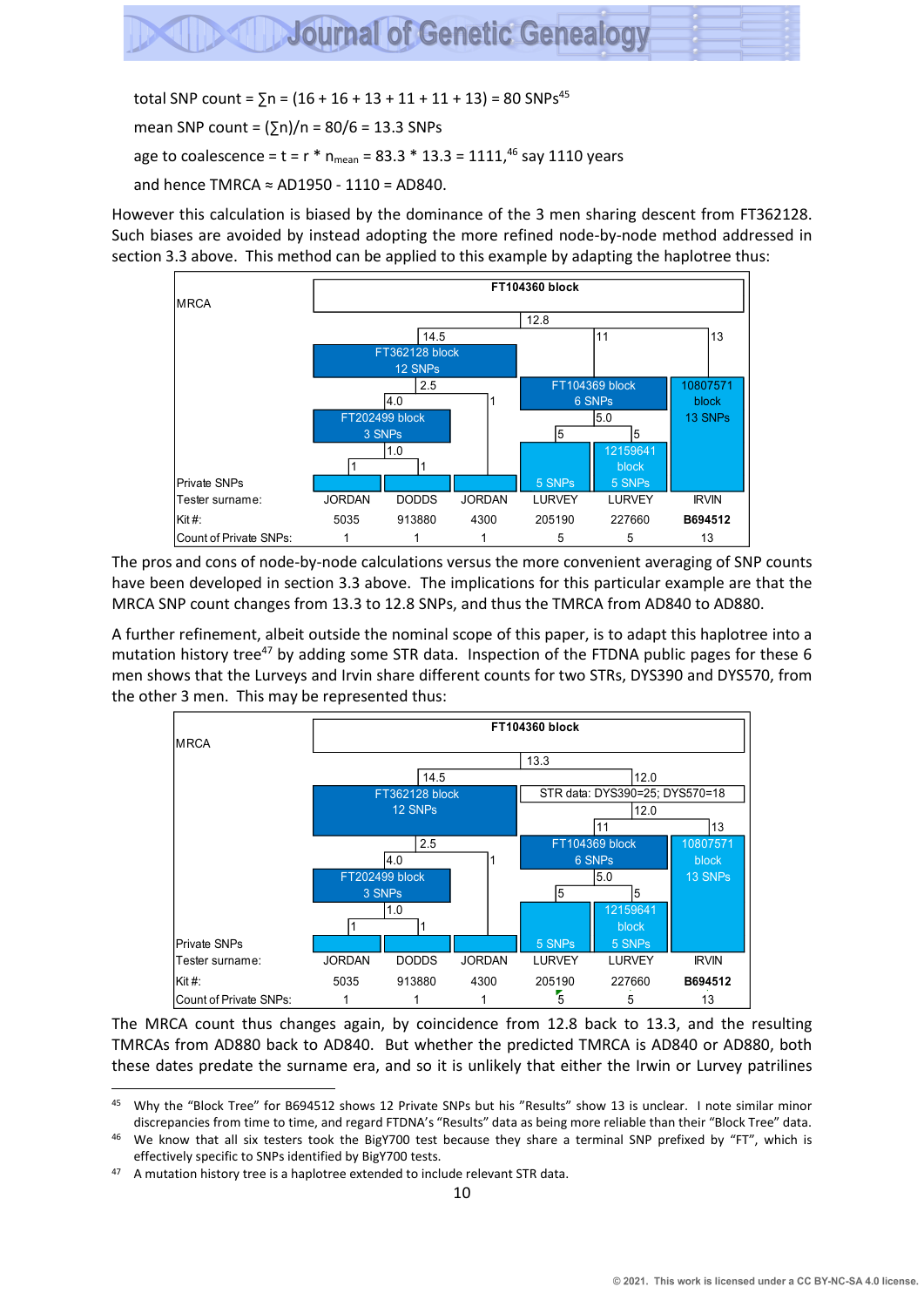total SNP count =  $\sum n = (16 + 16 + 13 + 11 + 11 + 13) = 80$  SNPs<sup>45</sup>

mean SNP count =  $(5n)/n = 80/6 = 13.3$  SNPs

age to coalescence = t = r  $*$  n<sub>mean</sub> = 83.3  $*$  13.3 = 1111,<sup>46</sup> say 1110 years

and hence TMRCA  $\approx$  AD1950 - 1110 = AD840.

However this calculation is biased by the dominance of the 3 men sharing descent from FT362128. Such biases are avoided by instead adopting the more refined node-by-node method addressed in section 3.3 above. This method can be applied to this example by adapting the haplotree thus:



The pros and cons of node-by-node calculations versus the more convenient averaging of SNP counts have been developed in section 3.3 above. The implications for this particular example are that the MRCA SNP count changes from 13.3 to 12.8 SNPs, and thus the TMRCA from AD840 to AD880.

A further refinement, albeit outside the nominal scope of this paper, is to adapt this haplotree into a mutation history tree<sup>47</sup> by adding some STR data. Inspection of the FTDNA public pages for these 6 men shows that the Lurveys and Irvin share different counts for two STRs, DYS390 and DYS570, from the other 3 men. This may be represented thus:



The MRCA count thus changes again, by coincidence from 12.8 back to 13.3, and the resulting TMRCAs from AD880 back to AD840. But whether the predicted TMRCA is AD840 or AD880, both these dates predate the surname era, and so it is unlikely that either the Irwin or Lurvey patrilines

<sup>45</sup> Why the "Block Tree" for B694512 shows 12 Private SNPs but his "Results" show 13 is unclear. I note similar minor discrepancies from time to time, and regard FTDNA's "Results" data as being more reliable than their "Block Tree" data.

<sup>46</sup> We know that all six testers took the BigY700 test because they share a terminal SNP prefixed by "FT", which is effectively specific to SNPs identified by BigY700 tests.

<sup>47</sup> A mutation history tree is a haplotree extended to include relevant STR data.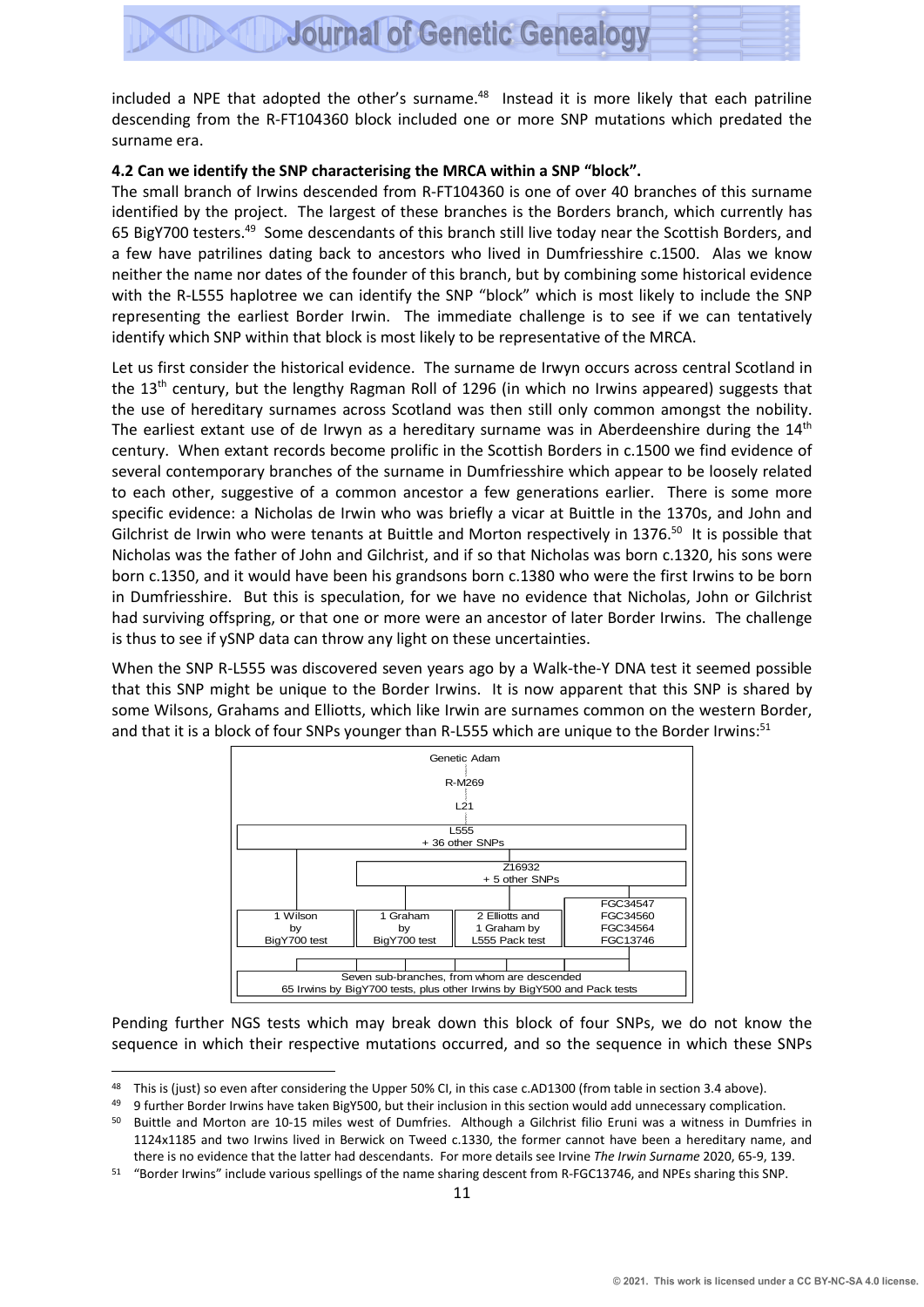included a NPE that adopted the other's surname.<sup>48</sup> Instead it is more likely that each patriline descending from the R-FT104360 block included one or more SNP mutations which predated the surname era.

#### **4.2 Can we identify the SNP characterising the MRCA within a SNP "block".**

The small branch of Irwins descended from R-FT104360 is one of over 40 branches of this surname identified by the project. The largest of these branches is the Borders branch, which currently has 65 BigY700 testers.<sup>49</sup> Some descendants of this branch still live today near the Scottish Borders, and a few have patrilines dating back to ancestors who lived in Dumfriesshire c.1500. Alas we know neither the name nor dates of the founder of this branch, but by combining some historical evidence with the R-L555 haplotree we can identify the SNP "block" which is most likely to include the SNP representing the earliest Border Irwin. The immediate challenge is to see if we can tentatively identify which SNP within that block is most likely to be representative of the MRCA.

Let us first consider the historical evidence. The surname de Irwyn occurs across central Scotland in the 13<sup>th</sup> century, but the lengthy Ragman Roll of 1296 (in which no Irwins appeared) suggests that the use of hereditary surnames across Scotland was then still only common amongst the nobility. The earliest extant use of de Irwyn as a hereditary surname was in Aberdeenshire during the  $14^{\text{th}}$ century. When extant records become prolific in the Scottish Borders in c.1500 we find evidence of several contemporary branches of the surname in Dumfriesshire which appear to be loosely related to each other, suggestive of a common ancestor a few generations earlier. There is some more specific evidence: a Nicholas de Irwin who was briefly a vicar at Buittle in the 1370s, and John and Gilchrist de Irwin who were tenants at Buittle and Morton respectively in 1376.<sup>50</sup> It is possible that Nicholas was the father of John and Gilchrist, and if so that Nicholas was born c.1320, his sons were born c.1350, and it would have been his grandsons born c.1380 who were the first Irwins to be born in Dumfriesshire. But this is speculation, for we have no evidence that Nicholas, John or Gilchrist had surviving offspring, or that one or more were an ancestor of later Border Irwins. The challenge is thus to see if ySNP data can throw any light on these uncertainties.

When the SNP R-L555 was discovered seven years ago by a Walk-the-Y DNA test it seemed possible that this SNP might be unique to the Border Irwins. It is now apparent that this SNP is shared by some Wilsons, Grahams and Elliotts, which like Irwin are surnames common on the western Border, and that it is a block of four SNPs younger than R-L555 which are unique to the Border Irwins:<sup>51</sup>



Pending further NGS tests which may break down this block of four SNPs, we do not know the sequence in which their respective mutations occurred, and so the sequence in which these SNPs

<sup>48</sup> This is (just) so even after considering the Upper 50% CI, in this case c.AD1300 (from table in section 3.4 above).

<sup>49 9</sup> further Border Irwins have taken BigY500, but their inclusion in this section would add unnecessary complication.

<sup>50</sup> Buittle and Morton are 10-15 miles west of Dumfries. Although a Gilchrist filio Eruni was a witness in Dumfries in 1124x1185 and two Irwins lived in Berwick on Tweed c.1330, the former cannot have been a hereditary name, and there is no evidence that the latter had descendants. For more details see Irvine *The Irwin Surname* 2020, 65-9, 139.

<sup>51</sup> "Border Irwins" include various spellings of the name sharing descent from R-FGC13746, and NPEs sharing this SNP.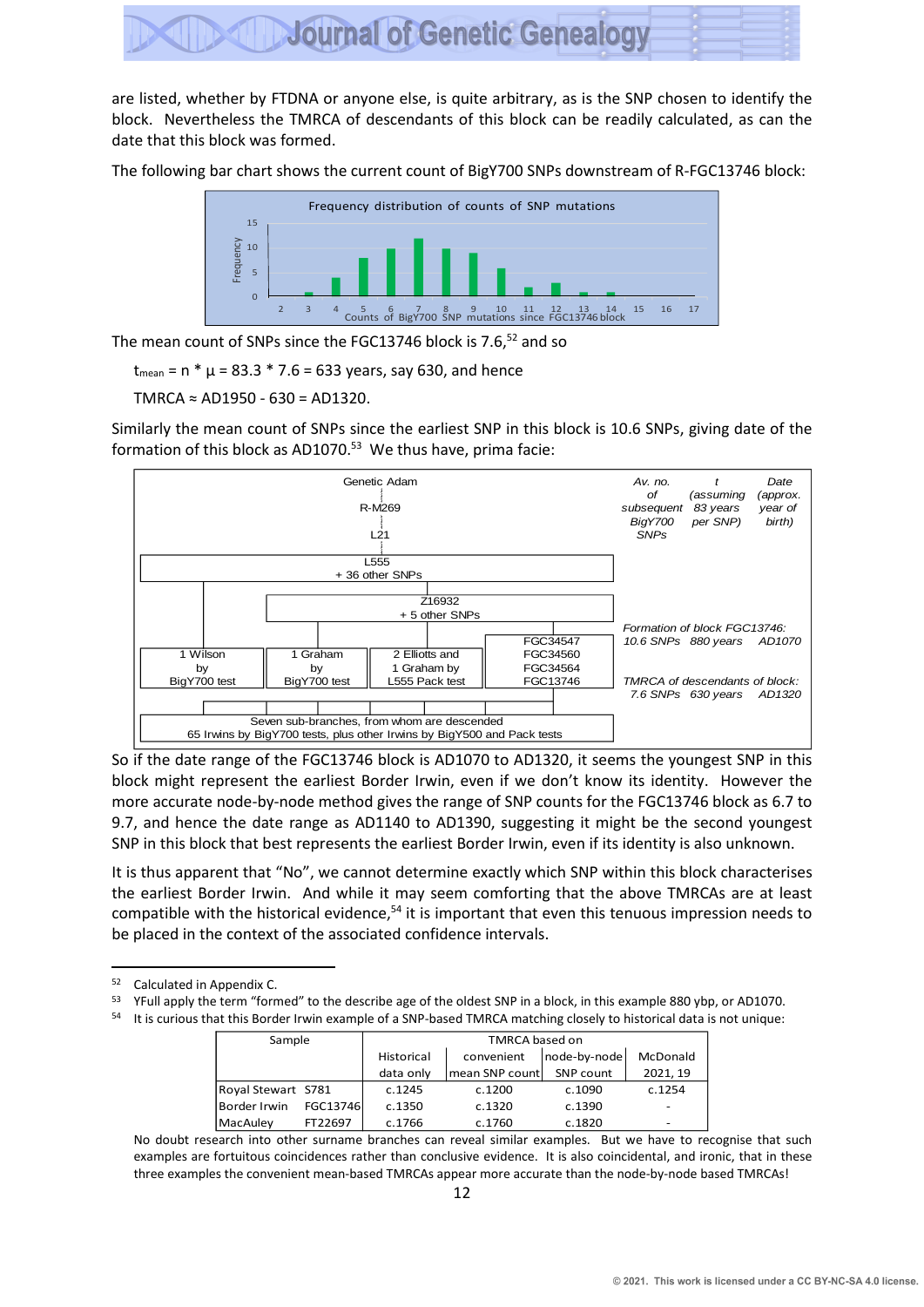

are listed, whether by FTDNA or anyone else, is quite arbitrary, as is the SNP chosen to identify the block. Nevertheless the TMRCA of descendants of this block can be readily calculated, as can the date that this block was formed.

The following bar chart shows the current count of BigY700 SNPs downstream of R-FGC13746 block:



The mean count of SNPs since the FGC13746 block is 7.6,<sup>52</sup> and so

 $t_{\text{mean}} = n * \mu = 83.3 * 7.6 = 633$  years, say 630, and hence

TMRCA ≈ AD1950 - 630 = AD1320.

Similarly the mean count of SNPs since the earliest SNP in this block is 10.6 SNPs, giving date of the formation of this block as AD1070.<sup>53</sup> We thus have, prima facie:



So if the date range of the FGC13746 block is AD1070 to AD1320, it seems the youngest SNP in this block might represent the earliest Border Irwin, even if we don't know its identity. However the more accurate node-by-node method gives the range of SNP counts for the FGC13746 block as 6.7 to 9.7, and hence the date range as AD1140 to AD1390, suggesting it might be the second youngest SNP in this block that best represents the earliest Border Irwin, even if its identity is also unknown.

It is thus apparent that "No", we cannot determine exactly which SNP within this block characterises the earliest Border Irwin. And while it may seem comforting that the above TMRCAs are at least compatible with the historical evidence,<sup>54</sup> it is important that even this tenuous impression needs to be placed in the context of the associated confidence intervals.

<sup>53</sup> YFull apply the term "formed" to the describe age of the oldest SNP in a block, in this example 880 ybp, or AD1070.

<sup>54</sup> It is curious that this Border Irwin example of a SNP-based TMRCA matching closely to historical data is not unique:

| Sample             |          |            | <b>TMRCA based on</b> |              |          |
|--------------------|----------|------------|-----------------------|--------------|----------|
|                    |          | Historical | convenient            | node-by-node | McDonald |
|                    |          | data only  | mean SNP count        | SNP count    | 2021.19  |
| Royal Stewart S781 |          | c.1245     | c.1200                | c.1090       | c.1254   |
| Border Irwin       | FGC13746 | c.1350     | c.1320                | c.1390       | -        |
| MacAulev           | FT22697  | c.1766     | c.1760                | c.1820       |          |

No doubt research into other surname branches can reveal similar examples. But we have to recognise that such examples are fortuitous coincidences rather than conclusive evidence. It is also coincidental, and ironic, that in these three examples the convenient mean-based TMRCAs appear more accurate than the node-by-node based TMRCAs!

<sup>52</sup> Calculated in Appendix C.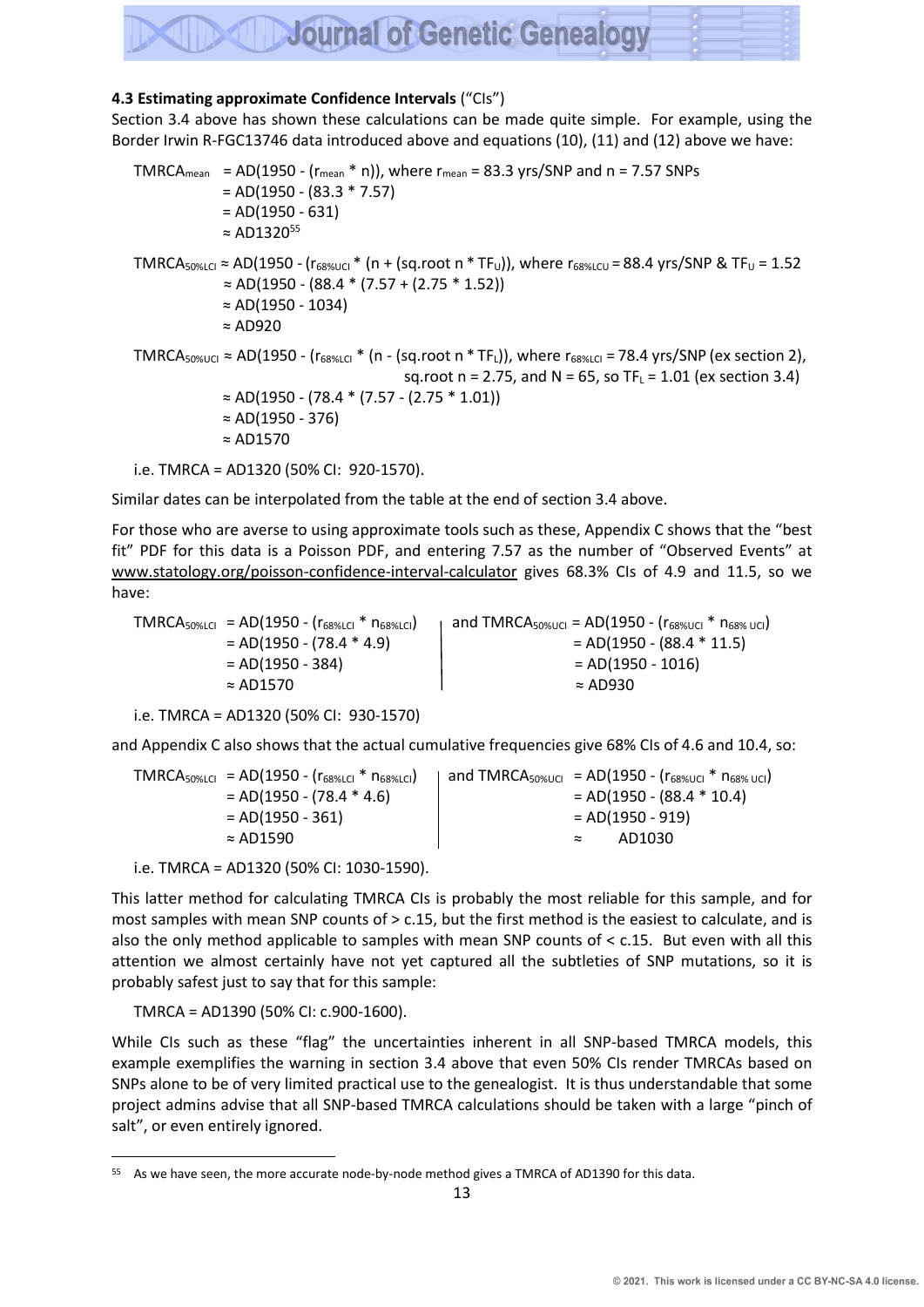#### **4.3 Estimating approximate Confidence Intervals** ("CIs")

Section 3.4 above has shown these calculations can be made quite simple. For example, using the Border Irwin R-FGC13746 data introduced above and equations (10), (11) and (12) above we have:

TMRCA<sub>mean</sub> = AD(1950 - ( $r_{mean}$  \* n)), where  $r_{mean}$  = 83.3 yrs/SNP and n = 7.57 SNPs  $= AD(1950 - (83.3 * 7.57))$  $= AD(1950 - 631)$  $\approx$  AD1320<sup>55</sup> TMRCA<sub>50%LCI</sub>  $\approx$  AD(1950 - ( $r_{68\%UCl}$   $\star$  (n + (sq.root n  $\star$  TF<sub>U</sub>)), where  $r_{68\%LCU}$  = 88.4 yrs/SNP & TF<sub>U</sub> = 1.52  $\approx$  AD(1950 - (88.4 \* (7.57 + (2.75 \* 1.52)) ≈ AD(1950 - 1034) ≈ AD920 TMRCA<sub>50%UCI</sub>  $\approx$  AD(1950 - (r<sub>68%LCI</sub> \* (n - (sq.root n \* TF<sub>L</sub>)), where r<sub>68%LCI</sub> = 78.4 yrs/SNP (ex section 2), sq.root n = 2.75, and N = 65, so  $TF_L = 1.01$  (ex section 3.4) ≈ AD(1950 - (78.4 \* (7.57 - (2.75 \* 1.01)) ≈ AD(1950 - 376) ≈ AD1570 i.e. TMRCA = AD1320 (50% CI: 920-1570).

Similar dates can be interpolated from the table at the end of section 3.4 above.

For those who are averse to using approximate tools such as these, Appendix C shows that the "best fit" PDF for this data is a Poisson PDF, and entering 7.57 as the number of "Observed Events" at www.statology.org/poisson-confidence-interval-calculator gives 68.3% CIs of 4.9 and 11.5, so we have:

 $TMRCA_{50\% LCl} = AD(1950 - (r_{68\% LCl} * n_{68\% LCl})$  and  $TMRCA_{50\% UCl} = AD(1950 - (r_{68\% UCl} * n_{68\% UCl})$  $= AD(1950 - (78.4 * 4.9))$   $= AD(1950 - (88.4 * 11.5))$  $= AD(1950 - 384)$   $= AD(1950 - 1016)$  $\approx$  AD1570  $\approx$  AD930

```
i.e. TMRCA = AD1320 (50% CI: 930-1570)
```
and Appendix C also shows that the actual cumulative frequencies give 68% CIs of 4.6 and 10.4, so:

 $TMRCA_{50\%LCl} = AD(1950 - (r_{68\%LCl} * n_{68\%LCl})$  and  $TMRCA_{50\%UCl} = AD(1950 - (r_{68\%UCl} * n_{68\%UCl})$  $= AD(1950 - (78.4 * 4.6))$   $= AD(1950 - (88.4 * 10.4))$  $= AD(1950 - 361)$   $= AD(1950 - 919)$ ≈ AD1590 ≈ AD1030

i.e. TMRCA = AD1320 (50% CI: 1030-1590).

This latter method for calculating TMRCA CIs is probably the most reliable for this sample, and for most samples with mean SNP counts of > c.15, but the first method is the easiest to calculate, and is also the only method applicable to samples with mean SNP counts of < c.15. But even with all this attention we almost certainly have not yet captured all the subtleties of SNP mutations, so it is probably safest just to say that for this sample:

TMRCA = AD1390 (50% CI: c.900-1600).

While CIs such as these "flag" the uncertainties inherent in all SNP-based TMRCA models, this example exemplifies the warning in section 3.4 above that even 50% CIs render TMRCAs based on SNPs alone to be of very limited practical use to the genealogist. It is thus understandable that some project admins advise that all SNP-based TMRCA calculations should be taken with a large "pinch of salt", or even entirely ignored.

<sup>55</sup> As we have seen, the more accurate node-by-node method gives a TMRCA of AD1390 for this data.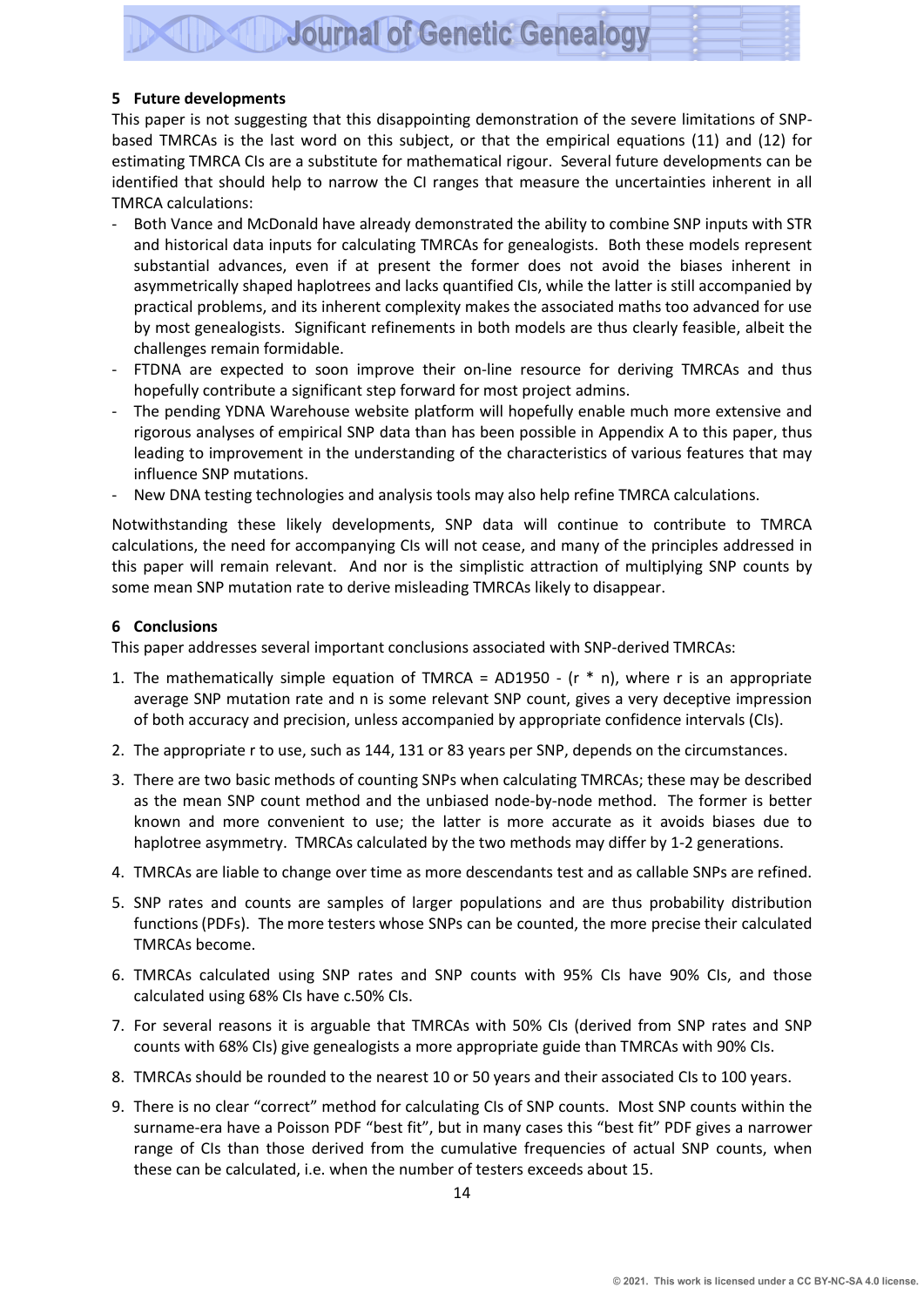#### **5 Future developments**

This paper is not suggesting that this disappointing demonstration of the severe limitations of SNPbased TMRCAs is the last word on this subject, or that the empirical equations (11) and (12) for estimating TMRCA CIs are a substitute for mathematical rigour. Several future developments can be identified that should help to narrow the CI ranges that measure the uncertainties inherent in all TMRCA calculations:

- Both Vance and McDonald have already demonstrated the ability to combine SNP inputs with STR and historical data inputs for calculating TMRCAs for genealogists. Both these models represent substantial advances, even if at present the former does not avoid the biases inherent in asymmetrically shaped haplotrees and lacks quantified CIs, while the latter is still accompanied by practical problems, and its inherent complexity makes the associated maths too advanced for use by most genealogists. Significant refinements in both models are thus clearly feasible, albeit the challenges remain formidable.
- FTDNA are expected to soon improve their on-line resource for deriving TMRCAs and thus hopefully contribute a significant step forward for most project admins.
- The pending YDNA Warehouse website platform will hopefully enable much more extensive and rigorous analyses of empirical SNP data than has been possible in Appendix A to this paper, thus leading to improvement in the understanding of the characteristics of various features that may influence SNP mutations.
- New DNA testing technologies and analysis tools may also help refine TMRCA calculations.

Notwithstanding these likely developments, SNP data will continue to contribute to TMRCA calculations, the need for accompanying CIs will not cease, and many of the principles addressed in this paper will remain relevant. And nor is the simplistic attraction of multiplying SNP counts by some mean SNP mutation rate to derive misleading TMRCAs likely to disappear.

#### **6 Conclusions**

This paper addresses several important conclusions associated with SNP-derived TMRCAs:

- 1. The mathematically simple equation of TMRCA =  $AD1950 (r * n)$ , where r is an appropriate average SNP mutation rate and n is some relevant SNP count, gives a very deceptive impression of both accuracy and precision, unless accompanied by appropriate confidence intervals (CIs).
- 2. The appropriate r to use, such as 144, 131 or 83 years per SNP, depends on the circumstances.
- 3. There are two basic methods of counting SNPs when calculating TMRCAs; these may be described as the mean SNP count method and the unbiased node-by-node method. The former is better known and more convenient to use; the latter is more accurate as it avoids biases due to haplotree asymmetry. TMRCAs calculated by the two methods may differ by 1-2 generations.
- 4. TMRCAs are liable to change over time as more descendants test and as callable SNPs are refined.
- 5. SNP rates and counts are samples of larger populations and are thus probability distribution functions(PDFs). The more testers whose SNPs can be counted, the more precise their calculated TMRCAs become.
- 6. TMRCAs calculated using SNP rates and SNP counts with 95% CIs have 90% CIs, and those calculated using 68% CIs have c.50% CIs.
- 7. For several reasons it is arguable that TMRCAs with 50% CIs (derived from SNP rates and SNP counts with 68% CIs) give genealogists a more appropriate guide than TMRCAs with 90% CIs.
- 8. TMRCAs should be rounded to the nearest 10 or 50 years and their associated CIs to 100 years.
- 9. There is no clear "correct" method for calculating CIs of SNP counts. Most SNP counts within the surname-era have a Poisson PDF "best fit", but in many cases this "best fit" PDF gives a narrower range of CIs than those derived from the cumulative frequencies of actual SNP counts, when these can be calculated, i.e. when the number of testers exceeds about 15.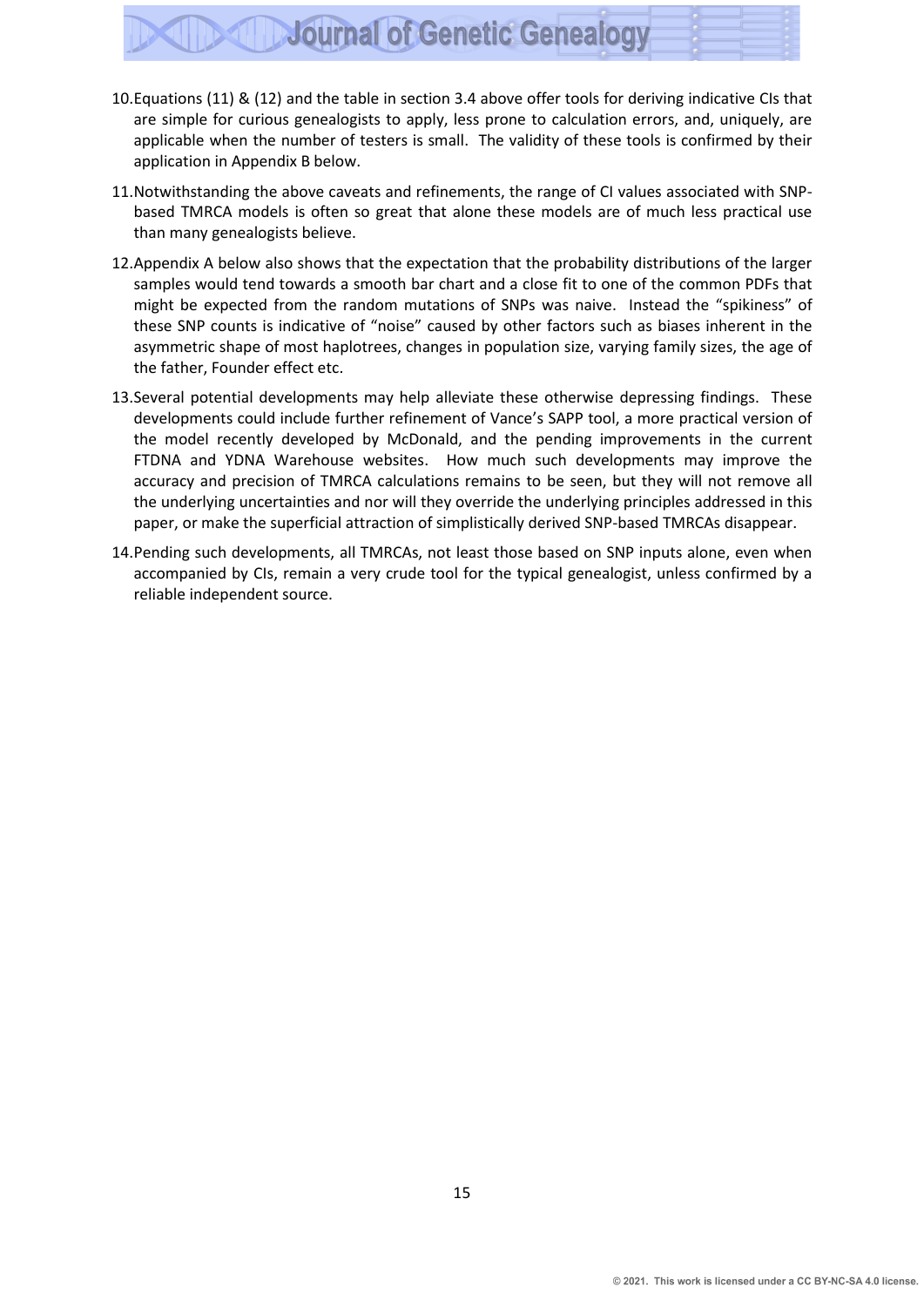- 10.Equations (11) & (12) and the table in section 3.4 above offer tools for deriving indicative CIs that are simple for curious genealogists to apply, less prone to calculation errors, and, uniquely, are applicable when the number of testers is small. The validity of these tools is confirmed by their application in Appendix B below.
- 11.Notwithstanding the above caveats and refinements, the range of CI values associated with SNPbased TMRCA models is often so great that alone these models are of much less practical use than many genealogists believe.
- 12.Appendix A below also shows that the expectation that the probability distributions of the larger samples would tend towards a smooth bar chart and a close fit to one of the common PDFs that might be expected from the random mutations of SNPs was naive. Instead the "spikiness" of these SNP counts is indicative of "noise" caused by other factors such as biases inherent in the asymmetric shape of most haplotrees, changes in population size, varying family sizes, the age of the father, Founder effect etc.
- 13.Several potential developments may help alleviate these otherwise depressing findings. These developments could include further refinement of Vance's SAPP tool, a more practical version of the model recently developed by McDonald, and the pending improvements in the current FTDNA and YDNA Warehouse websites. How much such developments may improve the accuracy and precision of TMRCA calculations remains to be seen, but they will not remove all the underlying uncertainties and nor will they override the underlying principles addressed in this paper, or make the superficial attraction of simplistically derived SNP-based TMRCAs disappear.
- 14.Pending such developments, all TMRCAs, not least those based on SNP inputs alone, even when accompanied by CIs, remain a very crude tool for the typical genealogist, unless confirmed by a reliable independent source.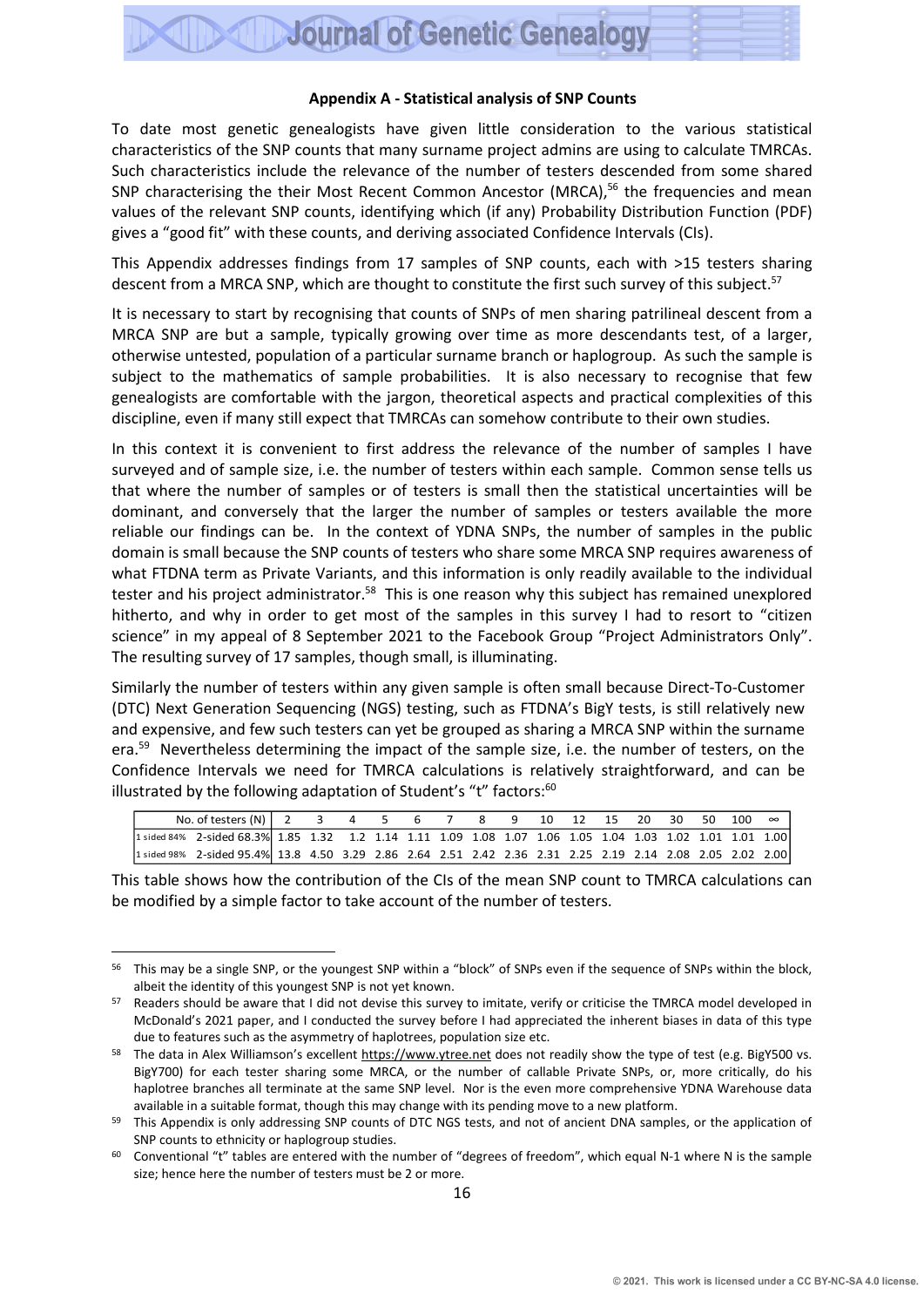#### **Appendix A - Statistical analysis of SNP Counts**

To date most genetic genealogists have given little consideration to the various statistical characteristics of the SNP counts that many surname project admins are using to calculate TMRCAs. Such characteristics include the relevance of the number of testers descended from some shared SNP characterising the their Most Recent Common Ancestor (MRCA),<sup>56</sup> the frequencies and mean values of the relevant SNP counts, identifying which (if any) Probability Distribution Function (PDF) gives a "good fit" with these counts, and deriving associated Confidence Intervals (CIs).

This Appendix addresses findings from 17 samples of SNP counts, each with >15 testers sharing descent from a MRCA SNP, which are thought to constitute the first such survey of this subject.<sup>57</sup>

It is necessary to start by recognising that counts of SNPs of men sharing patrilineal descent from a MRCA SNP are but a sample, typically growing over time as more descendants test, of a larger, otherwise untested, population of a particular surname branch or haplogroup. As such the sample is subject to the mathematics of sample probabilities. It is also necessary to recognise that few genealogists are comfortable with the jargon, theoretical aspects and practical complexities of this discipline, even if many still expect that TMRCAs can somehow contribute to their own studies.

In this context it is convenient to first address the relevance of the number of samples I have surveyed and of sample size, i.e. the number of testers within each sample. Common sense tells us that where the number of samples or of testers is small then the statistical uncertainties will be dominant, and conversely that the larger the number of samples or testers available the more reliable our findings can be. In the context of YDNA SNPs, the number of samples in the public domain is small because the SNP counts of testers who share some MRCA SNP requires awareness of what FTDNA term as Private Variants, and this information is only readily available to the individual tester and his project administrator.<sup>58</sup> This is one reason why this subject has remained unexplored hitherto, and why in order to get most of the samples in this survey I had to resort to "citizen science" in my appeal of 8 September 2021 to the Facebook Group "Project Administrators Only". The resulting survey of 17 samples, though small, is illuminating.

Similarly the number of testers within any given sample is often small because Direct-To-Customer (DTC) Next Generation Sequencing (NGS) testing, such as FTDNA's BigY tests, is still relatively new and expensive, and few such testers can yet be grouped as sharing a MRCA SNP within the surname era.<sup>59</sup> Nevertheless determining the impact of the sample size, i.e. the number of testers, on the Confidence Intervals we need for TMRCA calculations is relatively straightforward, and can be illustrated by the following adaptation of Student's "t" factors:<sup>60</sup>

| No. of testers (N)   2 3 4 5 6 7 8 9 10 12 15 20 30 50 100 $\infty$                                       |  |  |  |  |  |  |  |  |
|-----------------------------------------------------------------------------------------------------------|--|--|--|--|--|--|--|--|
| 1 sided 84% 2-sided 68.3% 1.85 1.32 1.2 1.14 1.11 1.09 1.08 1.07 1.06 1.05 1.04 1.03 1.02 1.01 1.01 1.00  |  |  |  |  |  |  |  |  |
| 1 sided 98% 2-sided 95.4% 13.8 4.50 3.29 2.86 2.64 2.51 2.42 2.36 2.31 2.25 2.19 2.14 2.08 2.05 2.02 2.00 |  |  |  |  |  |  |  |  |

This table shows how the contribution of the CIs of the mean SNP count to TMRCA calculations can be modified by a simple factor to take account of the number of testers.

<sup>&</sup>lt;sup>56</sup> This may be a single SNP, or the youngest SNP within a "block" of SNPs even if the sequence of SNPs within the block, albeit the identity of this youngest SNP is not yet known.

<sup>57</sup> Readers should be aware that I did not devise this survey to imitate, verify or criticise the TMRCA model developed in McDonald's 2021 paper, and I conducted the survey before I had appreciated the inherent biases in data of this type due to features such as the asymmetry of haplotrees, population size etc.

<sup>&</sup>lt;sup>58</sup> The data in Alex Williamson's excellent [https://www.ytree.net](https://www.ytree.net/) does not readily show the type of test (e.g. BigY500 vs. BigY700) for each tester sharing some MRCA, or the number of callable Private SNPs, or, more critically, do his haplotree branches all terminate at the same SNP level. Nor is the even more comprehensive YDNA Warehouse data available in a suitable format, though this may change with its pending move to a new platform.

<sup>&</sup>lt;sup>59</sup> This Appendix is only addressing SNP counts of DTC NGS tests, and not of ancient DNA samples, or the application of SNP counts to ethnicity or haplogroup studies.

 $60$  Conventional "t" tables are entered with the number of "degrees of freedom", which equal N-1 where N is the sample size; hence here the number of testers must be 2 or more.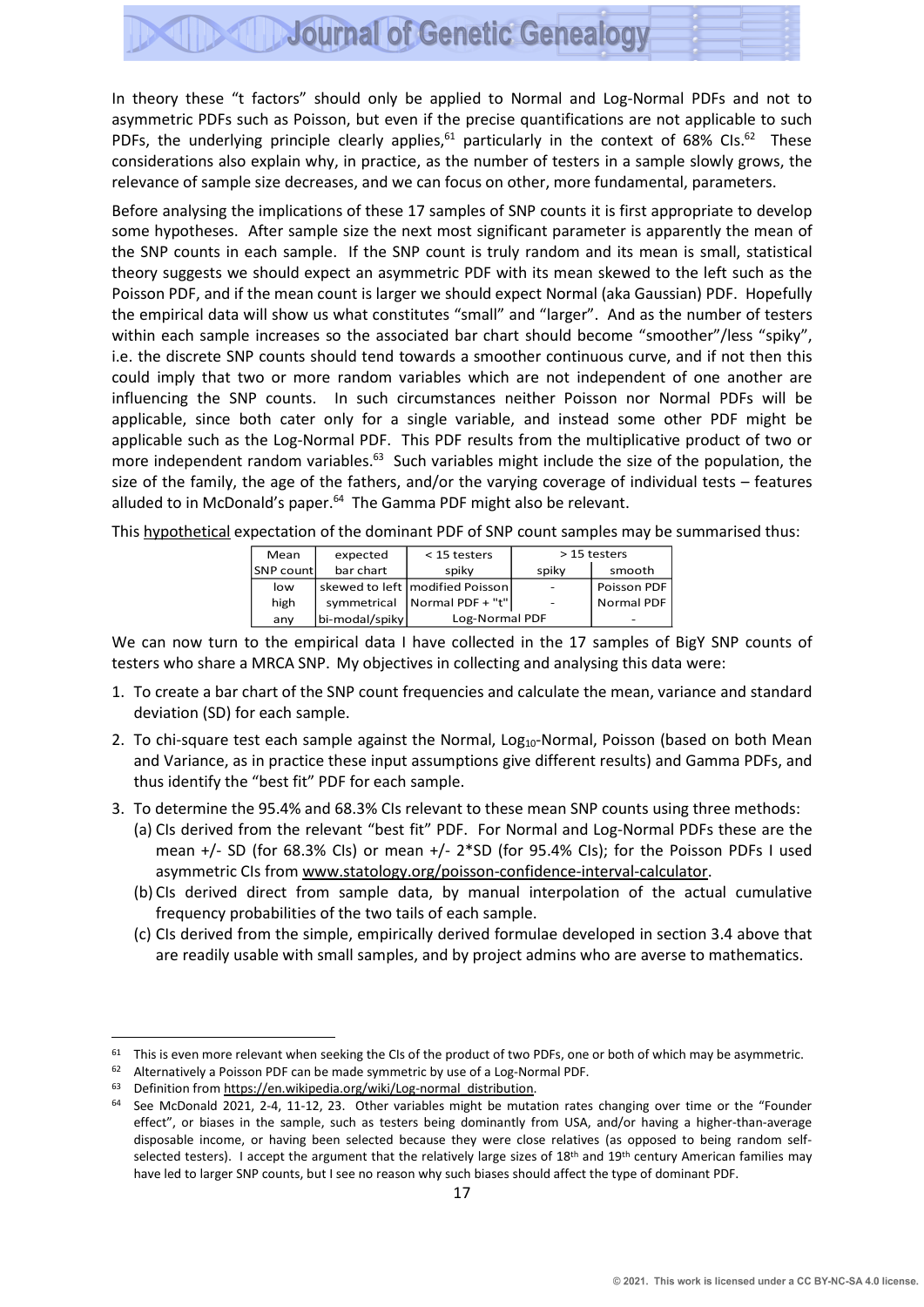In theory these "t factors" should only be applied to Normal and Log-Normal PDFs and not to asymmetric PDFs such as Poisson, but even if the precise quantifications are not applicable to such PDFs, the underlying principle clearly applies,<sup>61</sup> particularly in the context of 68% CIs.<sup>62</sup> These considerations also explain why, in practice, as the number of testers in a sample slowly grows, the relevance of sample size decreases, and we can focus on other, more fundamental, parameters.

Before analysing the implications of these 17 samples of SNP counts it is first appropriate to develop some hypotheses. After sample size the next most significant parameter is apparently the mean of the SNP counts in each sample. If the SNP count is truly random and its mean is small, statistical theory suggests we should expect an asymmetric PDF with its mean skewed to the left such as the Poisson PDF, and if the mean count is larger we should expect Normal (aka Gaussian) PDF. Hopefully the empirical data will show us what constitutes "small" and "larger". And as the number of testers within each sample increases so the associated bar chart should become "smoother"/less "spiky". i.e. the discrete SNP counts should tend towards a smoother continuous curve, and if not then this could imply that two or more random variables which are not independent of one another are influencing the SNP counts. In such circumstances neither Poisson nor Normal PDFs will be applicable, since both cater only for a single variable, and instead some other PDF might be applicable such as the Log-Normal PDF. This PDF results from the multiplicative [product](https://en.wikipedia.org/wiki/Mathematical_product) of two or more [independent](https://en.wikipedia.org/wiki/Statistical_independence) [random variables](https://en.wikipedia.org/wiki/Random_variable).<sup>63</sup> Such variables might include the size of the population, the size of the family, the age of the fathers, and/or the varying coverage of individual tests – features alluded to in McDonald's paper.<sup>64</sup> The Gamma PDF might also be relevant.

This hypothetical expectation of the dominant PDF of SNP count samples may be summarised thus:

| Mean      | expected       | $<$ 15 testers                    |                          | > 15 testers |
|-----------|----------------|-----------------------------------|--------------------------|--------------|
| SNP count | bar chart      | spiky                             | spiky                    | smooth       |
| low       |                | skewed to left   modified Poisson |                          | Poisson PDF  |
| high      |                | symmetrical   Normal PDF + "t"    | $\overline{\phantom{a}}$ | Normal PDF   |
| any       | bi-modal/spiky | Log-Normal PDF                    |                          |              |

We can now turn to the empirical data I have collected in the 17 samples of BigY SNP counts of testers who share a MRCA SNP. My objectives in collecting and analysing this data were:

- 1. To create a bar chart of the SNP count frequencies and calculate the mean, variance and standard deviation (SD) for each sample.
- 2. To chi-square test each sample against the Normal, Log<sub>10</sub>-Normal, Poisson (based on both Mean and Variance, as in practice these input assumptions give different results) and Gamma PDFs, and thus identify the "best fit" PDF for each sample.
- 3. To determine the 95.4% and 68.3% CIs relevant to these mean SNP counts using three methods:
	- (a) CIs derived from the relevant "best fit" PDF. For Normal and Log-Normal PDFs these are the mean +/- SD (for 68.3% CIs) or mean +/- 2\*SD (for 95.4% CIs); for the Poisson PDFs I used asymmetric CIs from [www.statology.org/poisson-confidence-interval-calculator.](http://www.statology.org/poisson-confidence-interval-calculator)
	- (b) CIs derived direct from sample data, by manual interpolation of the actual cumulative frequency probabilities of the two tails of each sample.
	- (c) CIs derived from the simple, empirically derived formulae developed in section 3.4 above that are readily usable with small samples, and by project admins who are averse to mathematics.

 $61$  This is even more relevant when seeking the CIs of the product of two PDFs, one or both of which may be asymmetric.

<sup>62</sup> Alternatively a Poisson PDF can be made symmetric by use of a Log-Normal PDF.

<sup>63</sup> Definition from https://en.wikipedia.org/wiki/Log-normal\_distribution.

 $64$  See McDonald 2021, 2-4, 11-12, 23. Other variables might be mutation rates changing over time or the "Founder effect", or biases in the sample, such as testers being dominantly from USA, and/or having a higher-than-average disposable income, or having been selected because they were close relatives (as opposed to being random selfselected testers). I accept the argument that the relatively large sizes of 18<sup>th</sup> and 19<sup>th</sup> century American families may have led to larger SNP counts, but I see no reason why such biases should affect the type of dominant PDF.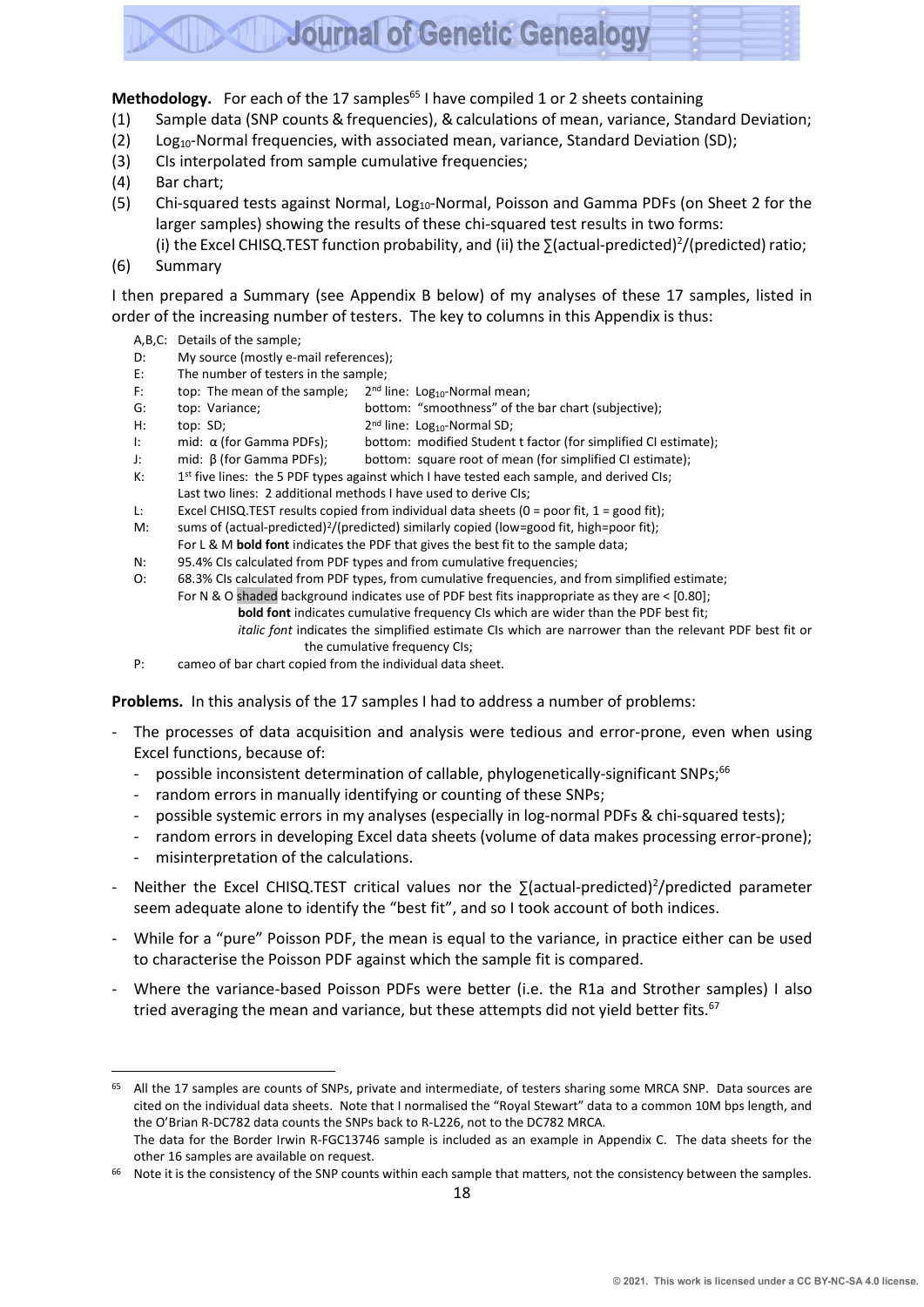#### Methodology. For each of the 17 samples<sup>65</sup> I have compiled 1 or 2 sheets containing

- (1) Sample data (SNP counts & frequencies), &calculations of mean, variance, Standard Deviation;
- (2) Log<sub>10</sub>-Normal frequencies, with associated mean, variance, Standard Deviation (SD);
- (3) CIs interpolated from sample cumulative frequencies;
- (4) Bar chart;
- (5) Chi-squared tests against Normal, Log<sub>10</sub>-Normal, Poisson and Gamma PDFs (on Sheet 2 for the larger samples) showing the results of these chi-squared test results in two forms:
	- (i) the Excel CHISQ.TEST function probability, and (ii) the  $\Sigma$ (actual-predicted)<sup>2</sup>/(predicted) ratio;
- (6) Summary

I then prepared a Summary (see Appendix B below) of my analyses of these 17 samples, listed in order of the increasing number of testers. The key to columns in this Appendix is thus:

- A,B,C: Details of the sample;
- D: My source (mostly e-mail references);
- E: The number of testers in the sample;
- F: top: The mean of the sample;  $2<sup>nd</sup>$  line: Log<sub>10</sub>-Normal mean;
- G: top: Variance; bottom: "smoothness" of the bar chart (subjective);
- H: top: SD;
- 2<sup>nd</sup> line: Log<sub>10</sub>-Normal SD; I: mid: α (for Gamma PDFs); bottom: modified Student t factor (for simplified CI estimate);
- J: mid: β (for Gamma PDFs); bottom: square root of mean (for simplified CI estimate);
- $K:$ 1<sup>st</sup> five lines: the 5 PDF types against which I have tested each sample, and derived CIs;
	- Last two lines: 2 additional methods I have used to derive CIs;
- L: Excel CHISQ.TEST results copied from individual data sheets (0 = poor fit, 1 = good fit);
- M: sums of (actual-predicted)<sup>2</sup>/(predicted) similarly copied (low=good fit, high=poor fit);
- For L & M **bold font** indicates the PDF that gives the best fit to the sample data;
- N: 95.4% CIs calculated from PDF types and from cumulative frequencies;
- O: 68.3% CIs calculated from PDF types, from cumulative frequencies, and from simplified estimate;
	- For N & O shaded background indicates use of PDF best fits inappropriate as they are < [0.80];
		- **bold font** indicates cumulative frequency CIs which are wider than the PDF best fit;
			- *italic font* indicates the simplified estimate CIs which are narrower than the relevant PDF best fit or the cumulative frequency CIs;
- P: cameo of bar chart copied from the individual data sheet.

**Problems.** In this analysis of the 17 samples I had to address a number of problems:

- The processes of data acquisition and analysis were tedious and error-prone, even when using Excel functions, because of:
	- possible inconsistent determination of callable, phylogenetically-significant SNPs;<sup>66</sup>
	- random errors in manually identifying or counting of these SNPs;
	- possible systemic errors in my analyses (especially in log-normal PDFs & chi-squared tests);
	- random errors in developing Excel data sheets (volume of data makes processing error-prone);
	- misinterpretation of the calculations.
- Neither the Excel CHISQ.TEST critical values nor the ∑(actual-predicted)<sup>2</sup>/predicted parameter seem adequate alone to identify the "best fit", and so I took account of both indices.
- While for a "pure" Poisson PDF, the mean is equal to the variance, in practice either can be used to characterise the Poisson PDF against which the sample fit is compared.
- Where the variance-based Poisson PDFs were better (i.e. the R1a and Strother samples) I also tried averaging the mean and variance, but these attempts did not yield better fits.<sup>67</sup>

66 Note it is the consistency of the SNP counts within each sample that matters, not the consistency between the samples.

<sup>&</sup>lt;sup>65</sup> All the 17 samples are counts of SNPs, private and intermediate, of testers sharing some MRCA SNP. Data sources are cited on the individual data sheets. Note that I normalised the "Royal Stewart" data to a common 10M bps length, and the O'Brian R-DC782 data counts the SNPs back to R-L226, not to the DC782 MRCA. The data for the Border Irwin R-FGC13746 sample is included as an example in Appendix C. The data sheets for the other 16 samples are available on request.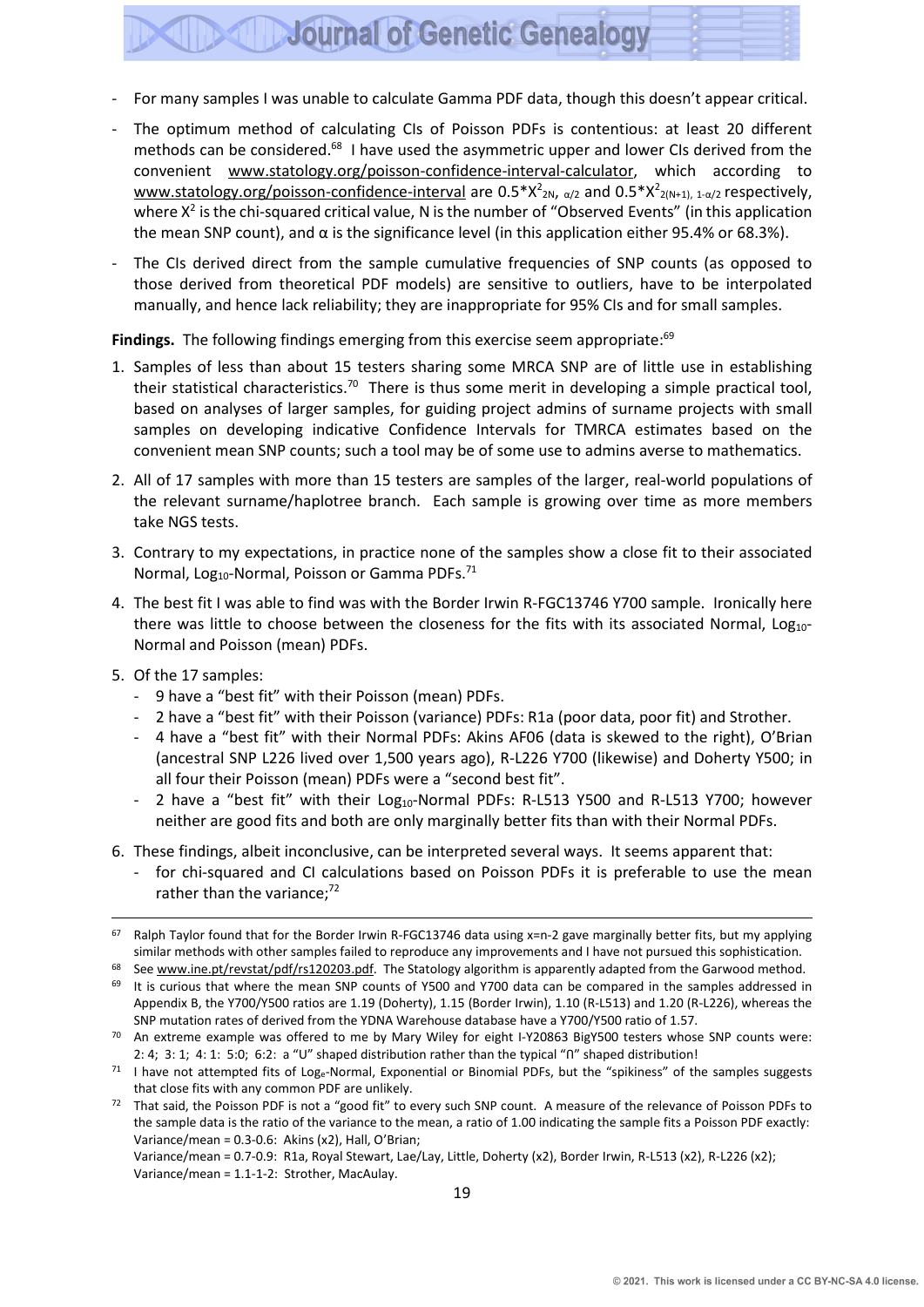- For many samples I was unable to calculate Gamma PDF data, though this doesn't appear critical.
- The optimum method of calculating CIs of Poisson PDFs is contentious: at least 20 different methods can be considered.<sup>68</sup> I have used the asymmetric upper and lower CIs derived from the convenient [www.statology.org/poisson-confidence-interval-calculator,](http://www.statology.org/poisson-confidence-interval-calculator) which according to <u>[www.statology.org/poisson-confidence-interval](http://www.statology.org/poisson-confidence-interval)</u> are  $0.5*X^2_{2N}$ , <sub>α/2</sub> and  $0.5*X^2_{2(N+1), 1-\alpha/2}$  respectively, where  $X^2$  is the chi-squared critical value, N is the number of "Observed Events" (in this application the mean SNP count), and α is the significance level (in this application either 95.4% or 68.3%).
- The CIs derived direct from the sample cumulative frequencies of SNP counts (as opposed to those derived from theoretical PDF models) are sensitive to outliers, have to be interpolated manually, and hence lack reliability; they are inappropriate for 95% CIs and for small samples.

Findings. The following findings emerging from this exercise seem appropriate:<sup>69</sup>

- 1. Samples of less than about 15 testers sharing some MRCA SNP are of little use in establishing their statistical characteristics.<sup>70</sup> There is thus some merit in developing a simple practical tool, based on analyses of larger samples, for guiding project admins of surname projects with small samples on developing indicative Confidence Intervals for TMRCA estimates based on the convenient mean SNP counts; such a tool may be of some use to admins averse to mathematics.
- 2. All of 17 samples with more than 15 testers are samples of the larger, real-world populations of the relevant surname/haplotree branch. Each sample is growing over time as more members take NGS tests.
- 3. Contrary to my expectations, in practice none of the samples show a close fit to their associated Normal, Log<sub>10</sub>-Normal, Poisson or Gamma PDFs.<sup>71</sup>
- 4. The best fit I was able to find was with the Border Irwin R-FGC13746 Y700 sample. Ironically here there was little to choose between the closeness for the fits with its associated Normal, Log10-Normal and Poisson (mean) PDFs.
- 5. Of the 17 samples:
	- 9 have a "best fit" with their Poisson (mean) PDFs.
	- 2 have a "best fit" with their Poisson (variance) PDFs: R1a (poor data, poor fit) and Strother.
	- 4 have a "best fit" with their Normal PDFs: Akins AF06 (data is skewed to the right), O'Brian (ancestral SNP L226 lived over 1,500 years ago), R-L226 Y700 (likewise) and Doherty Y500; in all four their Poisson (mean) PDFs were a "second best fit".
	- 2 have a "best fit" with their  $Log<sub>10</sub>$ -Normal PDFs: R-L513 Y500 and R-L513 Y700; however neither are good fits and both are only marginally better fits than with their Normal PDFs.
- 6. These findings, albeit inconclusive, can be interpreted several ways. It seems apparent that:
	- for chi-squared and CI calculations based on Poisson PDFs it is preferable to use the mean rather than the variance;<sup>72</sup>

Variance/mean = 0.7-0.9: R1a, Royal Stewart, Lae/Lay, Little, Doherty (x2), Border Irwin, R-L513 (x2), R-L226 (x2); Variance/mean = 1.1-1-2: Strother, MacAulay.

 $67$  Ralph Taylor found that for the Border Irwin R-FGC13746 data using x=n-2 gave marginally better fits, but my applying similar methods with other samples failed to reproduce any improvements and I have not pursued this sophistication.

See [www.ine.pt/revstat/pdf/rs120203.pdf.](http://www.ine.pt/revstat/pdf/rs120203.pdf) The Statology algorithm is apparently adapted from the Garwood method.

<sup>69</sup> It is curious that where the mean SNP counts of Y500 and Y700 data can be compared in the samples addressed in Appendix B, the Y700/Y500 ratios are 1.19 (Doherty), 1.15 (Border Irwin), 1.10 (R-L513) and 1.20 (R-L226), whereas the SNP mutation rates of derived from the YDNA Warehouse database have a Y700/Y500 ratio of 1.57.

 $70$  An extreme example was offered to me by Mary Wiley for eight I-Y20863 BigY500 testers whose SNP counts were: 2: 4; 3: 1; 4: 1: 5:0; 6:2: a "U" shaped distribution rather than the typical "Ⴖ" shaped distribution!

<sup>71</sup> I have not attempted fits of Log<sub>e</sub>-Normal, Exponential or Binomial PDFs, but the "spikiness" of the samples suggests that close fits with any common PDF are unlikely.

 $72$  That said, the Poisson PDF is not a "good fit" to every such SNP count. A measure of the relevance of Poisson PDFs to the sample data is the ratio of the variance to the mean, a ratio of 1.00 indicating the sample fits a Poisson PDF exactly: Variance/mean = 0.3-0.6: Akins (x2), Hall, O'Brian;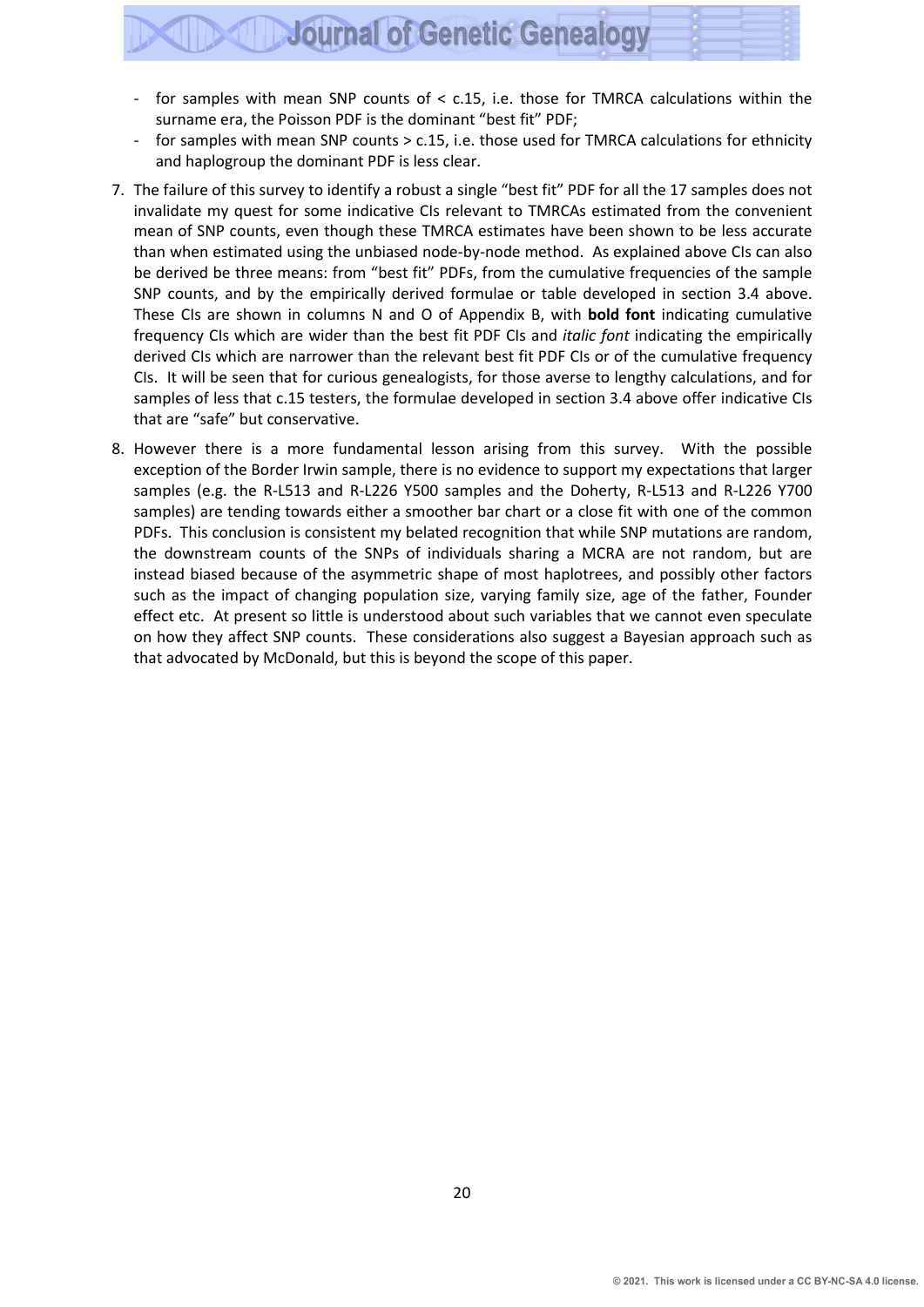- for samples with mean SNP counts of  $<$  c.15, i.e. those for TMRCA calculations within the surname era, the Poisson PDF is the dominant "best fit" PDF;
- for samples with mean SNP counts > c.15, i.e. those used for TMRCA calculations for ethnicity and haplogroup the dominant PDF is less clear.
- 7. The failure of this survey to identify a robust a single "best fit" PDF for all the 17 samples does not invalidate my quest for some indicative CIs relevant to TMRCAs estimated from the convenient mean of SNP counts, even though these TMRCA estimates have been shown to be less accurate than when estimated using the unbiased node-by-node method. As explained above CIs can also be derived be three means: from "best fit" PDFs, from the cumulative frequencies of the sample SNP counts, and by the empirically derived formulae or table developed in section 3.4 above. These CIs are shown in columns N and O of Appendix B, with **bold font** indicating cumulative frequency CIs which are wider than the best fit PDF CIs and *italic font* indicating the empirically derived CIs which are narrower than the relevant best fit PDF CIs or of the cumulative frequency CIs. It will be seen that for curious genealogists, for those averse to lengthy calculations, and for samples of less that c.15 testers, the formulae developed in section 3.4 above offer indicative CIs that are "safe" but conservative.
- 8. However there is a more fundamental lesson arising from this survey. With the possible exception of the Border Irwin sample, there is no evidence to support my expectations that larger samples (e.g. the R-L513 and R-L226 Y500 samples and the Doherty, R-L513 and R-L226 Y700 samples) are tending towards either a smoother bar chart or a close fit with one of the common PDFs. This conclusion is consistent my belated recognition that while SNP mutations are random, the downstream counts of the SNPs of individuals sharing a MCRA are not random, but are instead biased because of the asymmetric shape of most haplotrees, and possibly other factors such as the impact of changing population size, varying family size, age of the father, Founder effect etc. At present so little is understood about such variables that we cannot even speculate on how they affect SNP counts. These considerations also suggest a Bayesian approach such as that advocated by McDonald, but this is beyond the scope of this paper.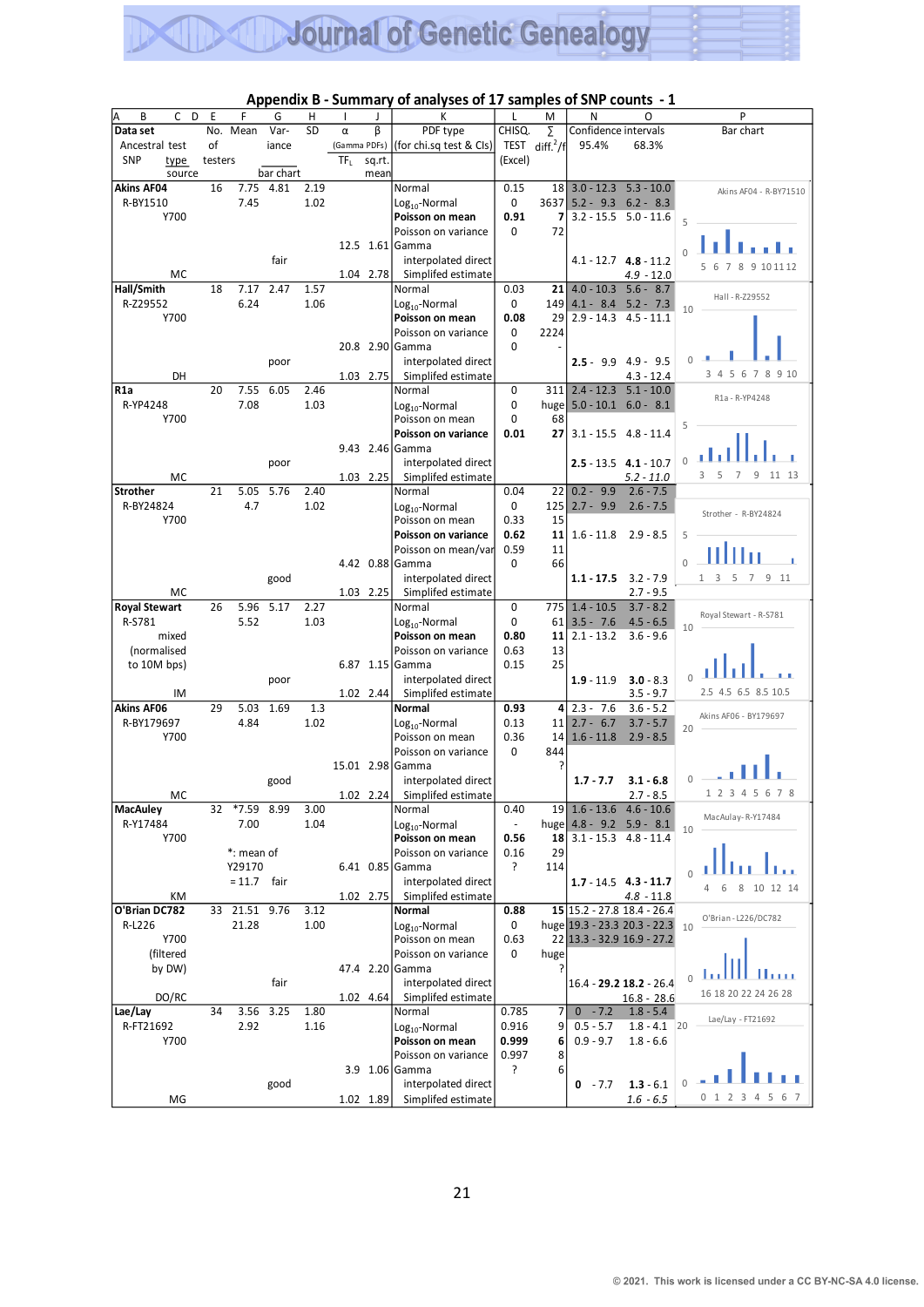| В<br>С               | D<br>Ε  | F             | G         | .<br>н | ı               | J           | vı unun<br>JUJ VI 17<br>К              | L                        | M                   | N                           | O                            | P                                         |
|----------------------|---------|---------------|-----------|--------|-----------------|-------------|----------------------------------------|--------------------------|---------------------|-----------------------------|------------------------------|-------------------------------------------|
| Data set             |         | No. Mean      | Var-      | SD     | $\alpha$        | β           | PDF type                               | CHISQ.                   |                     | Confidence intervals        |                              | Bar chart                                 |
|                      | οf      |               |           |        |                 |             |                                        |                          | Σ                   | 95.4%                       | 68.3%                        |                                           |
| Ancestral test       |         |               | iance     |        |                 |             | (Gamma PDFs)   (for chi.sq test & Cls) |                          | TEST diff. $^{2}/f$ |                             |                              |                                           |
| <b>SNP</b><br>type   | testers |               |           |        | TF <sub>L</sub> | sq.rt.      |                                        | (Excel)                  |                     |                             |                              |                                           |
| source               |         |               | bar chart |        |                 | mean        |                                        |                          |                     |                             |                              |                                           |
| <b>Akins AF04</b>    | 16      | 7.75          | 4.81      | 2.19   |                 |             | Normal                                 | 0.15                     | 18 I                | $3.0 - 12.3$                | $5.3 - 10.0$                 | Akins AF04 - R-BY71510                    |
| R-BY1510             |         | 7.45          |           | 1.02   |                 |             | $Log10$ -Normal                        | 0                        | 3637                |                             | $5.2 - 9.3$ $6.2 - 8.3$      |                                           |
| Y700                 |         |               |           |        |                 |             | Poisson on mean                        | 0.91                     | 7                   |                             | $3.2 - 15.5$ $5.0 - 11.6$    | 5                                         |
|                      |         |               |           |        |                 |             | Poisson on variance                    | 0                        | 72                  |                             |                              |                                           |
|                      |         |               |           |        |                 |             | 12.5 1.61 Gamma                        |                          |                     |                             |                              | $\Omega$                                  |
|                      |         |               | fair      |        |                 |             | interpolated direct                    |                          |                     |                             | $4.1 - 12.7$ $4.8 - 11.2$    | 7 8 9 10 11 12<br>6<br>5                  |
| МC                   |         |               |           |        |                 | 1.04 2.78   | Simplifed estimate                     |                          |                     |                             | 4.9 - 12.0                   |                                           |
| Hall/Smith           | 18      | 7.17          | 2.47      | 1.57   |                 |             | Normal                                 | 0.03                     | 21                  | $4.0 - 10.3$                | $5.6 - 8.7$                  |                                           |
| R-Z29552             |         | 6.24          |           | 1.06   |                 |             | Log <sub>10</sub> -Normal              | 0                        | 149                 | $4.1 - 8.4$                 | $5.2 - 7.3$                  | Hall - R-Z29552                           |
| Y700                 |         |               |           |        |                 |             | Poisson on mean                        | 0.08                     | 29                  | $2.9 - 14.3$                | $4.5 - 11.1$                 | 10                                        |
|                      |         |               |           |        |                 |             | Poisson on variance                    | 0                        | 2224                |                             |                              |                                           |
|                      |         |               |           |        |                 |             | 20.8 2.90 Gamma                        | 0                        |                     |                             |                              |                                           |
|                      |         |               | poor      |        |                 |             | interpolated direct                    |                          |                     | $2.5 - 9.9$                 | 4.9 - 9.5                    |                                           |
| DH                   |         |               |           |        |                 |             |                                        |                          |                     |                             | $4.3 - 12.4$                 | 5<br>6<br>7 8 9 10<br>3<br>$\overline{4}$ |
|                      |         |               |           |        |                 | 1.03 2.75   | Simplifed estimate                     |                          |                     |                             |                              |                                           |
| R1a                  | 20      | 7.55          | 6.05      | 2.46   |                 |             | Normal                                 | 0                        | 311                 | $2.4 - 12.3$                | $5.1 - 10.0$                 | R1a - R-YP4248                            |
| R-YP4248             |         | 7.08          |           | 1.03   |                 |             | Log <sub>10</sub> -Normal              | 0                        |                     | huge $5.0 - 10.1$ 6.0 - 8.1 |                              |                                           |
| Y700                 |         |               |           |        |                 |             | Poisson on mean                        | 0                        | 68                  |                             |                              | 5                                         |
|                      |         |               |           |        |                 |             | Poisson on variance                    | 0.01                     | 27                  |                             | $3.1 - 15.5$ 4.8 - 11.4      |                                           |
|                      |         |               |           |        |                 |             | 9.43 2.46 Gamma                        |                          |                     |                             |                              |                                           |
|                      |         |               | poor      |        |                 |             | interpolated direct                    |                          |                     |                             | $2.5 - 13.5$ $4.1 - 10.7$    | $\Omega$                                  |
| МC                   |         |               |           |        |                 | 1.03 2.25   | Simplifed estimate                     |                          |                     |                             | $5.2 - 11.0$                 | 5<br>9<br>3<br>7<br>11 13                 |
| <b>Strother</b>      | 21      | 5.05          | 5.76      | 2.40   |                 |             | Normal                                 | 0.04                     | 22                  | $0.2 - 9.9$                 | $2.6 - 7.5$                  |                                           |
| R-BY24824            |         | 4.7           |           | 1.02   |                 |             | Log <sub>10</sub> -Normal              | 0                        | 125                 | $2.7 - 9.9$                 | $2.6 - 7.5$                  |                                           |
| Y700                 |         |               |           |        |                 |             | Poisson on mean                        | 0.33                     | 15                  |                             |                              | Strother - R-BY24824                      |
|                      |         |               |           |        |                 |             | Poisson on variance                    | 0.62                     | 11                  | $1.6 - 11.8$                | $2.9 - 8.5$                  | 5                                         |
|                      |         |               |           |        |                 |             | Poisson on mean/var                    | 0.59                     | 11                  |                             |                              |                                           |
|                      |         |               |           |        |                 |             | 4.42 0.88 Gamma                        | 0                        | 66                  |                             |                              | 0                                         |
|                      |         |               |           |        |                 |             |                                        |                          |                     |                             |                              | 9<br>3<br>5<br>11<br>1<br>7               |
|                      |         |               | good      |        |                 |             | interpolated direct                    |                          |                     | $1.1 - 17.5$                | $3.2 - 7.9$                  |                                           |
| MC                   |         |               |           |        |                 | 1.03 2.25   | Simplifed estimate                     |                          |                     |                             | $2.7 - 9.5$                  |                                           |
| <b>Royal Stewart</b> | 26      | 5.96          | 5.17      | 2.27   |                 |             | Normal                                 | 0                        | 775I                | $1.4 - 10.5$                | $3.7 - 8.2$                  | Royal Stewart - R-S781                    |
| R-S781               |         | 5.52          |           | 1.03   |                 |             | $Log10$ -Normal                        | 0                        | 61                  | $3.5 - 7.6$                 | $4.5 - 6.5$                  | 10                                        |
| mixed                |         |               |           |        |                 |             | Poisson on mean                        | 0.80                     | 11                  | $2.1 - 13.2$                | $3.6 - 9.6$                  |                                           |
| (normalised          |         |               |           |        |                 |             | Poisson on variance                    | 0.63                     | 13                  |                             |                              |                                           |
| to 10M bps)          |         |               |           |        |                 |             | 6.87 1.15 Gamma                        | 0.15                     | 25                  |                             |                              |                                           |
|                      |         |               | poor      |        |                 |             | interpolated direct                    |                          |                     | $1.9 - 11.9$                | $3.0 - 8.3$                  |                                           |
| ΙM                   |         |               |           |        |                 | 1.02 2.44   | Simplifed estimate                     |                          |                     |                             | $3.5 - 9.7$                  | 2.5 4.5 6.5 8.5 10.5                      |
| <b>Akins AF06</b>    | 29      | 5.03          | 1.69      | 1.3    |                 |             | Normal                                 | 0.93                     | 4                   | $2.3 - 7.6$                 | $3.6 - 5.2$                  |                                           |
| R-BY179697           |         | 4.84          |           | 1.02   |                 |             | Log <sub>10</sub> -Normal              | 0.13                     | 11                  | $2.7 - 6.7$                 | $3.7 - 5.7$                  | Akins AF06 - BY179697                     |
| Y700                 |         |               |           |        |                 |             | Poisson on mean                        | 0.36                     | 14                  | $1.6 - 11.8$                | $2.9 - 8.5$                  | 20                                        |
|                      |         |               |           |        |                 |             | Poisson on variance                    | 0                        | 844                 |                             |                              |                                           |
|                      |         |               |           |        |                 |             | 15.01 2.98 Gamma                       |                          | ?                   |                             |                              |                                           |
|                      |         |               | good      |        |                 |             | interpolated direct                    |                          |                     | $1.7 - 7.7$                 | $3.1 - 6.8$                  | 0                                         |
| MC                   |         |               |           |        |                 | $1.02$ 2.24 | Simplifed estimate                     |                          |                     |                             | $2.7 - 8.5$                  | 1 2 3 4 5 6 7 8                           |
|                      |         |               |           |        |                 |             |                                        |                          |                     |                             |                              |                                           |
| <b>MacAuley</b>      | 32      | *7.59 8.99    |           | 3.00   |                 |             | Normal                                 | 0.40                     |                     | $19$ 1.6 - 13.6 4.6 - 10.6  |                              | MacAulay-R-Y17484                         |
| R-Y17484             |         | 7.00          |           | 1.04   |                 |             | $Log10$ -Normal                        | $\overline{\phantom{a}}$ |                     | huge 4.8 - 9.2 5.9 - 8.1    |                              | 10                                        |
| Y700                 |         |               |           |        |                 |             | Poisson on mean                        | 0.56                     | 18                  |                             | $3.1 - 15.3$ 4.8 - 11.4      |                                           |
|                      |         | *: mean of    |           |        |                 |             | Poisson on variance                    | 0.16                     | 29                  |                             |                              |                                           |
|                      |         | Y29170        |           |        |                 |             | 6.41 0.85 Gamma                        | ?                        | 114                 |                             |                              |                                           |
|                      |         | $= 11.7$ fair |           |        |                 |             | interpolated direct                    |                          |                     |                             | $1.7 - 14.5$ 4.3 - 11.7      | 8 10 12 14<br>6<br>4                      |
| КM                   |         |               |           |        |                 | 1.02 2.75   | Simplifed estimate                     |                          |                     |                             | 4.8 - 11.8                   |                                           |
| O'Brian DC782        | 33      | 21.51         | 9.76      | 3.12   |                 |             | Normal                                 | 0.88                     |                     |                             | 15 15.2 - 27.8 18.4 - 26.4   | O'Brian - L226/DC782                      |
| R-L226               |         | 21.28         |           | 1.00   |                 |             | $Log10$ -Normal                        | 0                        |                     |                             | huge 19.3 - 23.3 20.3 - 22.3 | 10                                        |
| Y700                 |         |               |           |        |                 |             | Poisson on mean                        | 0.63                     |                     |                             | 22 13.3 - 32.9 16.9 - 27.2   |                                           |
| (filtered            |         |               |           |        |                 |             | Poisson on variance                    | 0                        | huge                |                             |                              |                                           |
| by DW)               |         |               |           |        |                 |             | 47.4 2.20 Gamma                        |                          | ŗ                   |                             |                              |                                           |
|                      |         |               | fair      |        |                 |             | interpolated direct                    |                          |                     |                             | 16.4 - 29.2 18.2 - 26.4      | $\Omega$                                  |
| DO/RC                |         |               |           |        |                 | 1.02 4.64   | Simplifed estimate                     |                          |                     |                             | $16.8 - 28.6$                | 16 18 20 22 24 26 28                      |
| Lae/Lay              | 34      | 3.56          | 3.25      | 1.80   |                 |             | Normal                                 | 0.785                    | 7                   | $0 - 7.2$                   | $1.8 - 5.4$                  |                                           |
| R-FT21692            |         | 2.92          |           | 1.16   |                 |             | Log <sub>10</sub> -Normal              | 0.916                    | 9                   | $0.5 - 5.7$                 | $1.8 - 4.1$ 20               | Lae/Lay - FT21692                         |
| Y700                 |         |               |           |        |                 |             | Poisson on mean                        | 0.999                    | 6                   | $0.9 - 9.7$                 | $1.8 - 6.6$                  |                                           |
|                      |         |               |           |        |                 |             | Poisson on variance                    | 0.997                    | 8                   |                             |                              |                                           |
|                      |         |               |           |        |                 |             |                                        | ?                        | 6                   |                             |                              |                                           |
|                      |         |               |           |        |                 |             | 3.9 1.06 Gamma                         |                          |                     |                             |                              |                                           |
|                      |         |               | good      |        |                 |             | interpolated direct                    |                          |                     | $0 - 7.7$                   | $1.3 - 6.1$                  |                                           |
| MG                   |         |               |           |        |                 | 1.02 1.89   | Simplifed estimate                     |                          |                     |                             | $1.6 - 6.5$                  | 0 1 2 3 4 5 6 7                           |
|                      |         |               |           |        |                 |             |                                        |                          |                     |                             |                              |                                           |
|                      |         |               |           |        |                 |             |                                        |                          |                     |                             |                              |                                           |
|                      |         |               |           |        |                 |             |                                        |                          |                     |                             |                              |                                           |
|                      |         |               |           |        |                 |             |                                        |                          |                     |                             |                              |                                           |
|                      |         |               |           |        |                 |             |                                        |                          |                     |                             |                              |                                           |
|                      |         |               |           |        |                 |             |                                        |                          |                     |                             |                              |                                           |
|                      |         |               |           |        |                 |             | 21                                     |                          |                     |                             |                              |                                           |

#### **Appendix B - Summary of analyses of 17 samples of SNP counts - 1**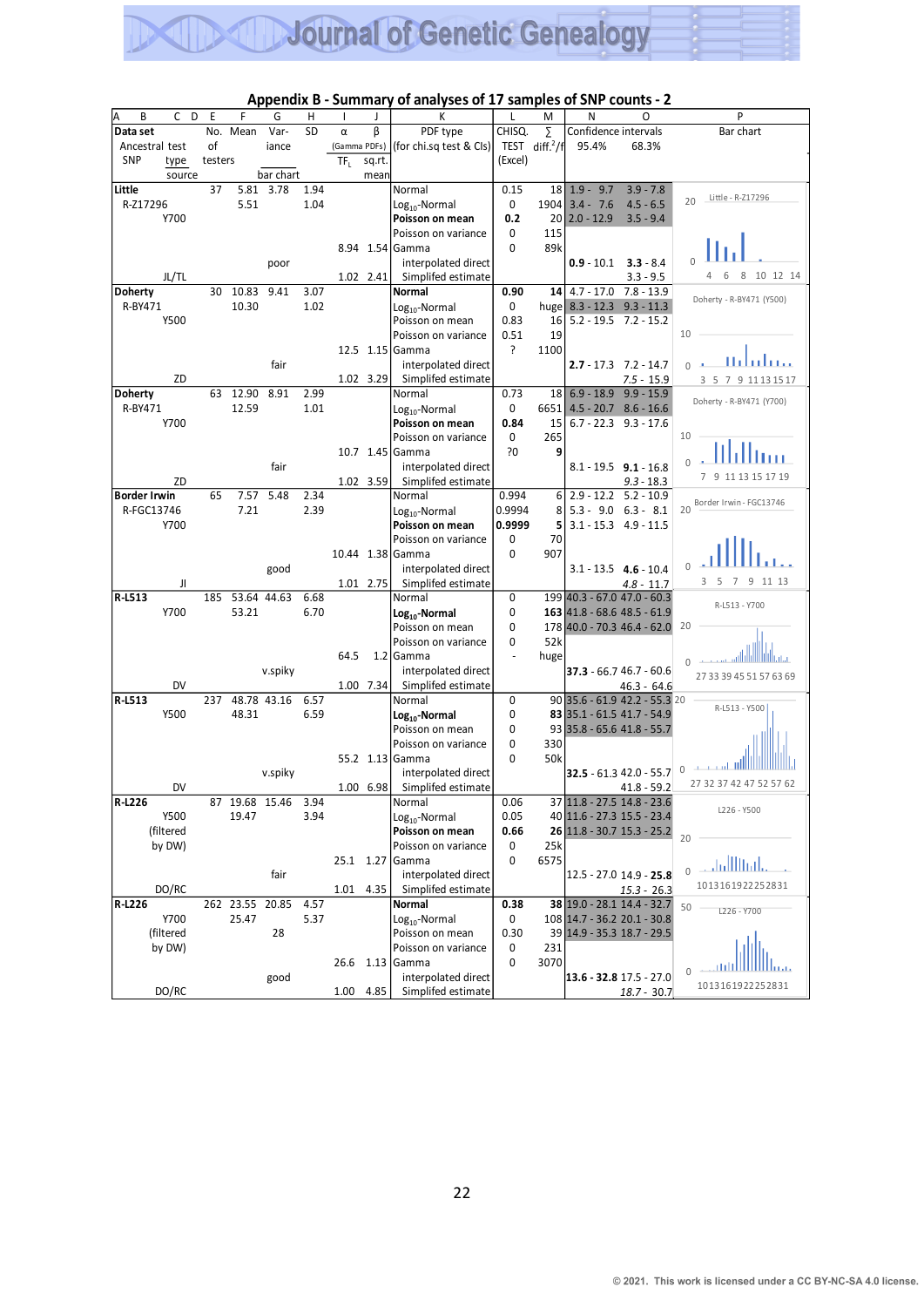|                     |                                      |        |         |                |             |           |                 |           | .<br>,,,,,,,,,,,                                                                                                                    |                     |                     |                            |                                                                                                     |                                 |
|---------------------|--------------------------------------|--------|---------|----------------|-------------|-----------|-----------------|-----------|-------------------------------------------------------------------------------------------------------------------------------------|---------------------|---------------------|----------------------------|-----------------------------------------------------------------------------------------------------|---------------------------------|
| В                   | C                                    | D      | Е       | F              | G           | н         |                 |           | К                                                                                                                                   | L                   | M                   | N                          | O                                                                                                   | P                               |
| Data set            |                                      |        | No.     | Mean           | Var-        | <b>SD</b> | α               | β         | PDF type                                                                                                                            | CHISQ.              | Σ                   | Confidence intervals       |                                                                                                     | Bar chart                       |
| Ancestral test      |                                      |        | of      |                | iance       |           |                 |           | (Gamma PDFs)   (for chi.sq test & Cls)                                                                                              |                     | TEST diff. $^{2}/f$ | 95.4%                      | 68.3%                                                                                               |                                 |
| <b>SNP</b>          | type                                 |        | testers |                |             |           | TF <sub>L</sub> | sq.rt.    |                                                                                                                                     | (Excel)             |                     |                            |                                                                                                     |                                 |
|                     |                                      | source |         |                | bar chart   |           |                 | mean      |                                                                                                                                     |                     |                     |                            |                                                                                                     |                                 |
| Little              |                                      |        | 37      | 5.81           | 3.78        | 1.94      |                 |           | Normal                                                                                                                              | 0.15                | 18                  | $1.9 - 9.7$                | $3.9 - 7.8$                                                                                         |                                 |
| R-Z17296            |                                      |        |         | 5.51           |             | 1.04      |                 |           |                                                                                                                                     | 0                   | 1904                | $3.4 - 7.6$                | $4.5 - 6.5$                                                                                         | Little - R-Z17296<br>20         |
|                     |                                      |        |         |                |             |           |                 |           | Log <sub>10</sub> -Normal                                                                                                           |                     |                     |                            |                                                                                                     |                                 |
|                     | Y700                                 |        |         |                |             |           |                 |           | Poisson on mean                                                                                                                     | 0.2                 | 20                  | $2.0 - 12.9$               | $3.5 - 9.4$                                                                                         |                                 |
|                     |                                      |        |         |                |             |           |                 |           | Poisson on variance                                                                                                                 | 0                   | 115                 |                            |                                                                                                     |                                 |
|                     |                                      |        |         |                |             |           |                 |           | 8.94 1.54 Gamma                                                                                                                     | 0                   | 89k                 |                            |                                                                                                     |                                 |
|                     |                                      |        |         |                | poor        |           |                 |           | interpolated direct                                                                                                                 |                     |                     | $0.9 - 10.1$               | $3.3 - 8.4$                                                                                         |                                 |
|                     | JL/TL                                |        |         |                |             |           |                 | 1.02 2.41 | Simplifed estimate                                                                                                                  |                     |                     |                            | $3.3 - 9.5$                                                                                         | 8 10 12 14<br>6<br>4            |
| <b>Doherty</b>      |                                      |        | 30      | 10.83          | 9.41        | 3.07      |                 |           | Normal                                                                                                                              | 0.90                | 14                  | $4.7 - 17.0$               | $7.8 - 13.9$                                                                                        |                                 |
| R-BY471             |                                      |        |         | 10.30          |             | 1.02      |                 |           |                                                                                                                                     |                     |                     |                            |                                                                                                     | Doherty - R-BY471 (Y500)        |
|                     |                                      |        |         |                |             |           |                 |           | Log <sub>10</sub> -Normal                                                                                                           | 0                   | huge                | $8.3 - 12.3$               | $9.3 - 11.3$                                                                                        |                                 |
|                     | Y500                                 |        |         |                |             |           |                 |           | Poisson on mean                                                                                                                     | 0.83                | 16                  | $5.2 - 19.5$               | $7.2 - 15.2$                                                                                        |                                 |
|                     |                                      |        |         |                |             |           |                 |           | Poisson on variance                                                                                                                 | 0.51                | 19                  |                            |                                                                                                     | 10                              |
|                     |                                      |        |         |                |             |           |                 |           | 12.5 1.15 Gamma                                                                                                                     | ?                   | 1100                |                            |                                                                                                     |                                 |
|                     |                                      |        |         |                | fair        |           |                 |           | interpolated direct                                                                                                                 |                     |                     |                            | $2.7 - 17.3$ 7.2 - 14.7                                                                             | <u>Hitutinas</u>                |
|                     |                                      | ZD     |         |                |             |           |                 | 1.02 3.29 | Simplifed estimate                                                                                                                  |                     |                     |                            | $7.5 - 15.9$                                                                                        | 3 5 7 9 11 13 15 17             |
| <b>Doherty</b>      |                                      |        | 63      | 12.90          | 8.91        | 2.99      |                 |           | Normal                                                                                                                              | 0.73                | 18                  | $6.9 - 18.9$               | $9.9 - 15.9$                                                                                        |                                 |
| R-BY471             |                                      |        |         |                |             |           |                 |           |                                                                                                                                     |                     |                     |                            |                                                                                                     | Doherty - R-BY471 (Y700)        |
|                     |                                      |        |         | 12.59          |             | 1.01      |                 |           | Log <sub>10</sub> -Normal                                                                                                           | 0                   | 6651                |                            | $4.5 - 20.7$ $8.6 - 16.6$                                                                           |                                 |
|                     | Y700                                 |        |         |                |             |           |                 |           | Poisson on mean                                                                                                                     | 0.84                | 15                  |                            | $6.7 - 22.3$ $9.3 - 17.6$                                                                           |                                 |
|                     |                                      |        |         |                |             |           |                 |           | Poisson on variance                                                                                                                 | 0                   | 265                 |                            |                                                                                                     | 10                              |
|                     |                                      |        |         |                |             |           |                 |           | 10.7 1.45 Gamma                                                                                                                     | ?0                  | 9                   |                            |                                                                                                     |                                 |
|                     |                                      |        |         |                | fair        |           |                 |           | interpolated direct                                                                                                                 |                     |                     |                            | $8.1 - 19.5$ 9.1 - 16.8                                                                             |                                 |
|                     |                                      | ZD     |         |                |             |           |                 | 1.02 3.59 | Simplifed estimate                                                                                                                  |                     |                     |                            | $9.3 - 18.3$                                                                                        | 9 11 13 15 17 19                |
| <b>Border Irwin</b> |                                      |        | 65      | 7.57           | 5.48        | 2.34      |                 |           | Normal                                                                                                                              | 0.994               | 6                   | $2.9 - 12.2$               | $5.2 - 10.9$                                                                                        |                                 |
|                     |                                      |        |         |                |             |           |                 |           |                                                                                                                                     |                     |                     |                            |                                                                                                     | Border Irwin - FGC13746<br>20   |
| R-FGC13746          |                                      |        |         | 7.21           |             | 2.39      |                 |           | Log <sub>10</sub> -Normal                                                                                                           | 0.9994              | 8                   | $5.3 - 9.0$                | $6.3 - 8.1$                                                                                         |                                 |
|                     | Y700                                 |        |         |                |             |           |                 |           | Poisson on mean                                                                                                                     | 0.9999              | 5                   |                            | $3.1 - 15.3$ 4.9 - 11.5                                                                             |                                 |
|                     |                                      |        |         |                |             |           |                 |           | Poisson on variance                                                                                                                 | 0                   | 70                  |                            |                                                                                                     |                                 |
|                     |                                      |        |         |                |             |           |                 |           | 10.44 1.38 Gamma                                                                                                                    | $\mathbf 0$         | 907                 |                            |                                                                                                     |                                 |
|                     |                                      |        |         |                | good        |           |                 |           | interpolated direct                                                                                                                 |                     |                     |                            | $3.1 - 13.5$ 4.6 - 10.4                                                                             |                                 |
|                     |                                      | JI     |         |                |             |           |                 | 1.01 2.75 | Simplifed estimate                                                                                                                  |                     |                     |                            | $4.8 - 11.7$                                                                                        | 5<br>7 9 11 13<br>3             |
| R-L513              |                                      |        | 185     |                | 53.64 44.63 | 6.68      |                 |           | Normal                                                                                                                              | 0                   |                     |                            | 199 40.3 - 67.0 47.0 - 60.3                                                                         |                                 |
|                     |                                      |        |         |                |             |           |                 |           |                                                                                                                                     |                     |                     |                            |                                                                                                     | R-L513 - Y700                   |
|                     | Y700                                 |        |         | 53.21          |             | 6.70      |                 |           | Log <sub>10</sub> -Normal                                                                                                           | 0                   |                     |                            | 163 41.8 - 68.6 48.5 - 61.9                                                                         |                                 |
|                     |                                      |        |         |                |             |           |                 |           | Poisson on mean                                                                                                                     | 0                   |                     |                            | 178 40.0 - 70.3 46.4 - 62.0                                                                         | 20                              |
|                     |                                      |        |         |                |             |           |                 |           | Poisson on variance                                                                                                                 | 0                   | 52k                 |                            |                                                                                                     |                                 |
|                     |                                      |        |         |                |             |           | 64.5            |           | $1.2$ Gamma                                                                                                                         |                     | huge                |                            |                                                                                                     | $\Omega$                        |
|                     |                                      |        |         |                | v.spiky     |           |                 |           | interpolated direct                                                                                                                 |                     |                     |                            | $37.3 - 66.746.7 - 60.6$                                                                            | 27 33 39 45 51 57 63 69         |
|                     |                                      | DV     |         |                |             |           |                 | 1.00 7.34 | Simplifed estimate                                                                                                                  |                     |                     |                            | $46.3 - 64.6$                                                                                       |                                 |
| R-L513              |                                      |        | 237     |                | 48.78 43.16 | 6.57      |                 |           | Normal                                                                                                                              | 0                   |                     |                            | 90 35.6 - 61.9 42.2 - 55.3 20                                                                       |                                 |
|                     | Y500                                 |        |         | 48.31          |             | 6.59      |                 |           | Log <sub>10</sub> -Normal                                                                                                           | 0                   |                     | 83 35.1 - 61.5 41.7 - 54.9 |                                                                                                     | R-L513 - Y500                   |
|                     |                                      |        |         |                |             |           |                 |           | Poisson on mean                                                                                                                     | 0                   |                     | 93 35.8 - 65.6 41.8 - 55.7 |                                                                                                     |                                 |
|                     |                                      |        |         |                |             |           |                 |           |                                                                                                                                     |                     |                     |                            |                                                                                                     |                                 |
|                     |                                      |        |         |                |             |           |                 |           | Poisson on variance                                                                                                                 | 0                   | 330                 |                            |                                                                                                     |                                 |
|                     |                                      |        |         |                |             |           |                 | 55.2 1.13 | <b>Gamma</b>                                                                                                                        | 0                   | 50k                 |                            |                                                                                                     | and a start the                 |
|                     |                                      |        |         |                | v.spiky     |           |                 |           | interpolated direct                                                                                                                 |                     |                     |                            | 32.5 - 61.3 42.0 - 55.7                                                                             | $\mathbf{0}$                    |
|                     |                                      | DV     |         |                |             |           |                 | 1.00 6.98 | Simplifed estimate                                                                                                                  |                     |                     |                            | 41.8 - 59.2                                                                                         | 27 32 37 42 47 52 57 62         |
| K-L226              |                                      |        |         | 87 19.68 15.46 |             | 3.94      |                 |           | Normal                                                                                                                              | 0.06                |                     |                            | 37 11.8 - 27.5 14.8 - 23.6                                                                          |                                 |
|                     | Y500                                 |        |         | 19.47          |             | 3.94      |                 |           | Log <sub>10</sub> -Normal                                                                                                           | 0.05                |                     |                            | 40 11.6 - 27.3 15.5 - 23.4                                                                          | L226 - Y500                     |
|                     | (filtered                            |        |         |                |             |           |                 |           | Poisson on mean                                                                                                                     | 0.66                |                     |                            | 26 11.8 - 30.7 15.3 - 25.2                                                                          |                                 |
|                     |                                      |        |         |                |             |           |                 |           |                                                                                                                                     |                     |                     |                            |                                                                                                     | 20                              |
|                     | by DW)                               |        |         |                |             |           |                 |           | Poisson on variance                                                                                                                 | 0                   | 25k                 |                            |                                                                                                     |                                 |
|                     |                                      |        |         |                |             |           |                 |           | 25.1 1.27 Gamma                                                                                                                     | 0                   | 6575                |                            |                                                                                                     | بانتنا اللبيات                  |
|                     |                                      |        |         |                | fair        |           |                 |           | interpolated direct                                                                                                                 |                     |                     |                            | 12.5 - 27.0 14.9 - 25.8                                                                             |                                 |
|                     | DO/RC                                |        |         |                |             |           | 1.01 4.35       |           | Simplifed estimate                                                                                                                  |                     |                     |                            | $15.3 - 26.3$                                                                                       | 1013161922252831                |
| R-L226              |                                      |        |         | 262 23.55      | 20.85       | 4.57      |                 |           | Normal                                                                                                                              | 0.38                |                     |                            | 38 19.0 - 28.1 14.4 - 32.7                                                                          | 50                              |
|                     |                                      |        |         |                |             |           |                 |           |                                                                                                                                     |                     |                     |                            |                                                                                                     |                                 |
|                     |                                      |        |         |                |             |           |                 |           |                                                                                                                                     |                     |                     |                            |                                                                                                     |                                 |
|                     |                                      |        |         |                |             |           |                 |           |                                                                                                                                     |                     |                     |                            |                                                                                                     |                                 |
|                     |                                      |        |         |                |             |           |                 |           |                                                                                                                                     |                     |                     |                            |                                                                                                     |                                 |
|                     |                                      |        |         |                |             |           |                 |           |                                                                                                                                     |                     |                     |                            |                                                                                                     | - 1111                          |
|                     |                                      |        |         |                |             |           |                 |           |                                                                                                                                     |                     |                     |                            |                                                                                                     |                                 |
|                     |                                      |        |         |                |             |           |                 |           |                                                                                                                                     |                     |                     |                            |                                                                                                     |                                 |
|                     | Y700<br>(filtered<br>by DW)<br>DO/RC |        |         | 25.47          | 28<br>good  | 5.37      | 1.00 4.85       |           | Log <sub>10</sub> -Normal<br>Poisson on mean<br>Poisson on variance<br>26.6 1.13 Gamma<br>interpolated direct<br>Simplifed estimate | 0<br>0.30<br>0<br>0 | 231<br>3070         |                            | 108 14.7 - 36.2 20.1 - 30.8<br>39 14.9 - 35.3 18.7 - 29.5<br>13.6 - 32.8 17.5 - 27.0<br>18.7 - 30.7 | L226 - Y700<br>1013161922252831 |
|                     |                                      |        |         |                |             |           |                 |           | 22                                                                                                                                  |                     |                     |                            |                                                                                                     |                                 |

#### **Appendix B - Summary of analyses of 17 samples of SNP counts - 2**